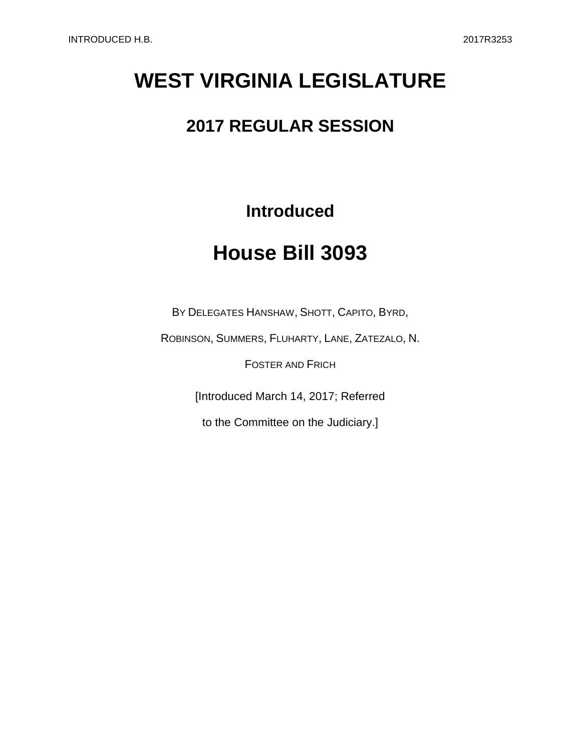# **WEST VIRGINIA LEGISLATURE**

### **2017 REGULAR SESSION**

**Introduced**

## **House Bill 3093**

BY DELEGATES HANSHAW, SHOTT, CAPITO, BYRD,

ROBINSON, SUMMERS, FLUHARTY, LANE, ZATEZALO, N.

FOSTER AND FRICH

[Introduced March 14, 2017; Referred

to the Committee on the Judiciary.]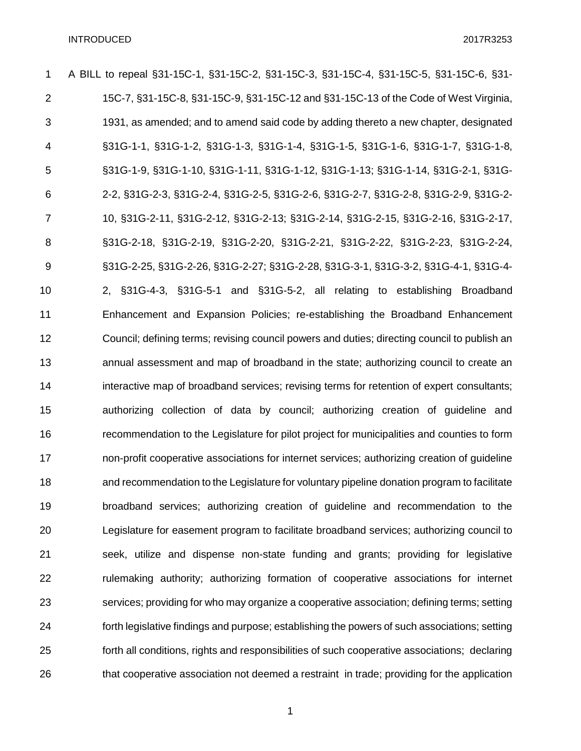| 1              | A BILL to repeal §31-15C-1, §31-15C-2, §31-15C-3, §31-15C-4, §31-15C-5, §31-15C-6, §31-       |
|----------------|-----------------------------------------------------------------------------------------------|
| $\overline{2}$ | 15C-7, §31-15C-8, §31-15C-9, §31-15C-12 and §31-15C-13 of the Code of West Virginia,          |
| 3              | 1931, as amended; and to amend said code by adding thereto a new chapter, designated          |
| 4              | §31G-1-1, §31G-1-2, §31G-1-3, §31G-1-4, §31G-1-5, §31G-1-6, §31G-1-7, §31G-1-8,               |
| 5              | §31G-1-9, §31G-1-10, §31G-1-11, §31G-1-12, §31G-1-13; §31G-1-14, §31G-2-1, §31G-              |
| 6              | 2-2, §31G-2-3, §31G-2-4, §31G-2-5, §31G-2-6, §31G-2-7, §31G-2-8, §31G-2-9, §31G-2-            |
| 7              | 10, §31G-2-11, §31G-2-12, §31G-2-13; §31G-2-14, §31G-2-15, §31G-2-16, §31G-2-17,              |
| 8              | §31G-2-18, §31G-2-19, §31G-2-20, §31G-2-21, §31G-2-22, §31G-2-23, §31G-2-24,                  |
| $9\,$          | §31G-2-25, §31G-2-26, §31G-2-27; §31G-2-28, §31G-3-1, §31G-3-2, §31G-4-1, §31G-4-             |
| 10             | 2, §31G-4-3, §31G-5-1 and §31G-5-2, all relating to establishing Broadband                    |
| 11             | Enhancement and Expansion Policies; re-establishing the Broadband Enhancement                 |
| 12             | Council; defining terms; revising council powers and duties; directing council to publish an  |
| 13             | annual assessment and map of broadband in the state; authorizing council to create an         |
| 14             | interactive map of broadband services; revising terms for retention of expert consultants;    |
| 15             | authorizing collection of data by council; authorizing creation of guideline and              |
| 16             | recommendation to the Legislature for pilot project for municipalities and counties to form   |
| 17             | non-profit cooperative associations for internet services; authorizing creation of guideline  |
| 18             | and recommendation to the Legislature for voluntary pipeline donation program to facilitate   |
| 19             | broadband services; authorizing creation of guideline and recommendation to the               |
| 20             | Legislature for easement program to facilitate broadband services; authorizing council to     |
| 21             | seek, utilize and dispense non-state funding and grants; providing for legislative            |
| 22             | rulemaking authority; authorizing formation of cooperative associations for internet          |
| 23             | services; providing for who may organize a cooperative association; defining terms; setting   |
| 24             | forth legislative findings and purpose; establishing the powers of such associations; setting |
| 25             | forth all conditions, rights and responsibilities of such cooperative associations; declaring |
| 26             | that cooperative association not deemed a restraint in trade; providing for the application   |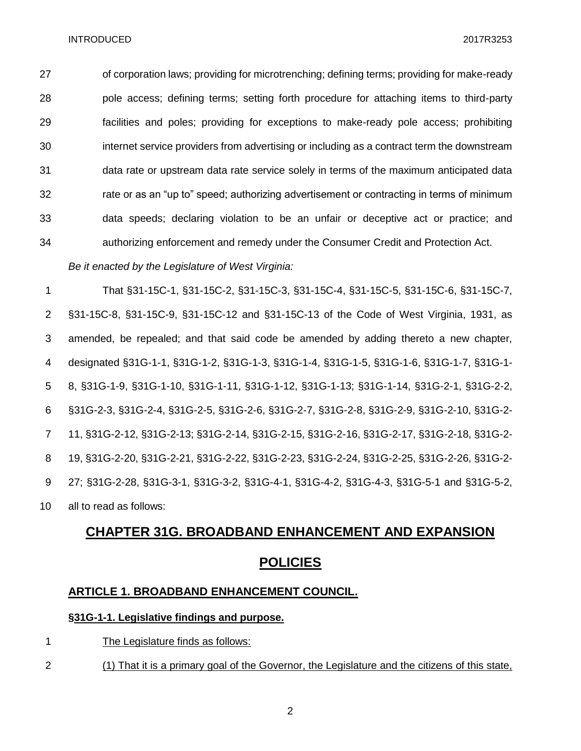of corporation laws; providing for microtrenching; defining terms; providing for make-ready pole access; defining terms; setting forth procedure for attaching items to third-party facilities and poles; providing for exceptions to make-ready pole access; prohibiting internet service providers from advertising or including as a contract term the downstream data rate or upstream data rate service solely in terms of the maximum anticipated data rate or as an "up to" speed; authorizing advertisement or contracting in terms of minimum data speeds; declaring violation to be an unfair or deceptive act or practice; and authorizing enforcement and remedy under the Consumer Credit and Protection Act.

*Be it enacted by the Legislature of West Virginia:*

 That §31-15C-1, §31-15C-2, §31-15C-3, §31-15C-4, §31-15C-5, §31-15C-6, §31-15C-7, §31-15C-8, §31-15C-9, §31-15C-12 and §31-15C-13 of the Code of West Virginia, 1931, as amended, be repealed; and that said code be amended by adding thereto a new chapter, designated §31G-1-1, §31G-1-2, §31G-1-3, §31G-1-4, §31G-1-5, §31G-1-6, §31G-1-7, §31G-1- 8, §31G-1-9, §31G-1-10, §31G-1-11, §31G-1-12, §31G-1-13; §31G-1-14, §31G-2-1, §31G-2-2, §31G-2-3, §31G-2-4, §31G-2-5, §31G-2-6, §31G-2-7, §31G-2-8, §31G-2-9, §31G-2-10, §31G-2- 11, §31G-2-12, §31G-2-13; §31G-2-14, §31G-2-15, §31G-2-16, §31G-2-17, §31G-2-18, §31G-2- 19, §31G-2-20, §31G-2-21, §31G-2-22, §31G-2-23, §31G-2-24, §31G-2-25, §31G-2-26, §31G-2- 27; §31G-2-28, §31G-3-1, §31G-3-2, §31G-4-1, §31G-4-2, §31G-4-3, §31G-5-1 and §31G-5-2, all to read as follows:

### **CHAPTER 31G. BROADBAND ENHANCEMENT AND EXPANSION POLICIES**

#### **ARTICLE 1. BROADBAND ENHANCEMENT COUNCIL.**

#### **§31G-1-1. Legislative findings and purpose.**

- 1 The Legislature finds as follows:
- (1) That it is a primary goal of the Governor, the Legislature and the citizens of this state,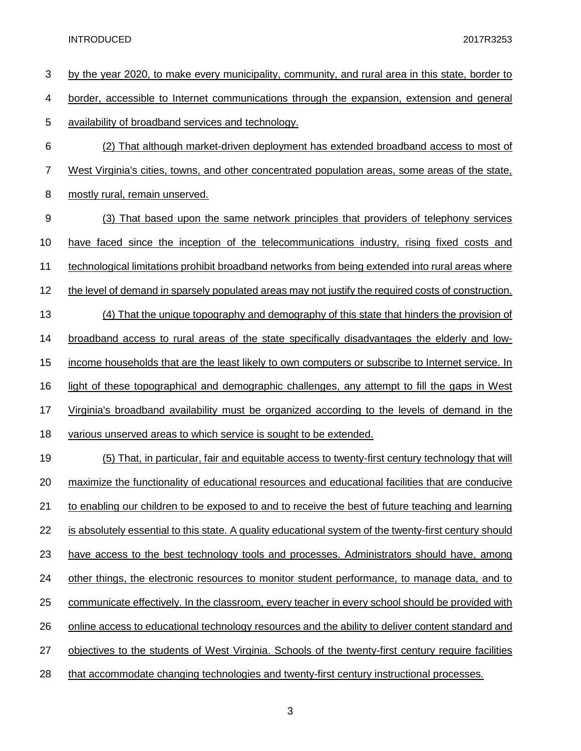| 3              | by the year 2020, to make every municipality, community, and rural area in this state, border to       |
|----------------|--------------------------------------------------------------------------------------------------------|
| 4              | border, accessible to Internet communications through the expansion, extension and general             |
| 5              | availability of broadband services and technology.                                                     |
| 6              | (2) That although market-driven deployment has extended broadband access to most of                    |
| $\overline{7}$ | West Virginia's cities, towns, and other concentrated population areas, some areas of the state,       |
| 8              | mostly rural, remain unserved.                                                                         |
| 9              | (3) That based upon the same network principles that providers of telephony services                   |
| 10             | have faced since the inception of the telecommunications industry, rising fixed costs and              |
| 11             | technological limitations prohibit broadband networks from being extended into rural areas where       |
| 12             | the level of demand in sparsely populated areas may not justify the required costs of construction.    |
| 13             | (4) That the unique topography and demography of this state that hinders the provision of              |
| 14             | broadband access to rural areas of the state specifically disadvantages the elderly and low-           |
| 15             | income households that are the least likely to own computers or subscribe to Internet service. In      |
| 16             | light of these topographical and demographic challenges, any attempt to fill the gaps in West          |
| 17             | Virginia's broadband availability must be organized according to the levels of demand in the           |
| 18             | various unserved areas to which service is sought to be extended.                                      |
| 19             | (5) That, in particular, fair and equitable access to twenty-first century technology that will        |
| 20             | maximize the functionality of educational resources and educational facilities that are conducive      |
| 21             | to enabling our children to be exposed to and to receive the best of future teaching and learning      |
| 22             | is absolutely essential to this state. A quality educational system of the twenty-first century should |
| 23             | have access to the best technology tools and processes. Administrators should have, among              |
| 24             | other things, the electronic resources to monitor student performance, to manage data, and to          |
| 25             | communicate effectively. In the classroom, every teacher in every school should be provided with       |
| 26             | online access to educational technology resources and the ability to deliver content standard and      |
| 27             | objectives to the students of West Virginia. Schools of the twenty-first century require facilities    |
| 28             | that accommodate changing technologies and twenty-first century instructional processes.               |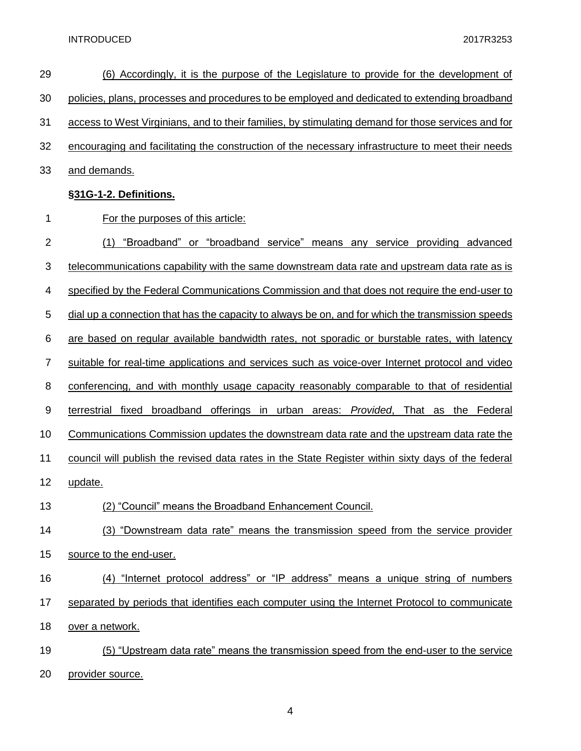| 29               | <u>(6) Accordingly, it is the purpose of the Legislature to provide for the development of</u>     |
|------------------|----------------------------------------------------------------------------------------------------|
| 30               | policies, plans, processes and procedures to be employed and dedicated to extending broadband      |
| 31               | access to West Virginians, and to their families, by stimulating demand for those services and for |
| 32               | encouraging and facilitating the construction of the necessary infrastructure to meet their needs  |
| 33               | and demands.                                                                                       |
|                  | §31G-1-2. Definitions.                                                                             |
| 1                | For the purposes of this article:                                                                  |
| $\overline{2}$   | "Broadband" or "broadband service" means any service providing advanced<br>(1)                     |
| 3                | telecommunications capability with the same downstream data rate and upstream data rate as is      |
| 4                | specified by the Federal Communications Commission and that does not require the end-user to       |
| 5                | dial up a connection that has the capacity to always be on, and for which the transmission speeds  |
| 6                | are based on regular available bandwidth rates, not sporadic or burstable rates, with latency      |
| 7                | suitable for real-time applications and services such as voice-over Internet protocol and video    |
| 8                | conferencing, and with monthly usage capacity reasonably comparable to that of residential         |
| $\boldsymbol{9}$ | terrestrial fixed broadband offerings in urban areas: Provided,<br>That as the Federal             |
| 10               | Communications Commission updates the downstream data rate and the upstream data rate the          |
| 11               | council will publish the revised data rates in the State Register within sixty days of the federal |
| 12               | update.                                                                                            |
| 13               | (2) "Council" means the Broadband Enhancement Council.                                             |
| 14               | (3) "Downstream data rate" means the transmission speed from the service provider                  |
| 15               | source to the end-user.                                                                            |
| 16               | (4) "Internet protocol address" or "IP address" means a unique string of numbers                   |
| 17               | separated by periods that identifies each computer using the Internet Protocol to communicate      |
| 18               | over a network.                                                                                    |
| 19               | (5) "Upstream data rate" means the transmission speed from the end-user to the service             |
| 20               | provider source.                                                                                   |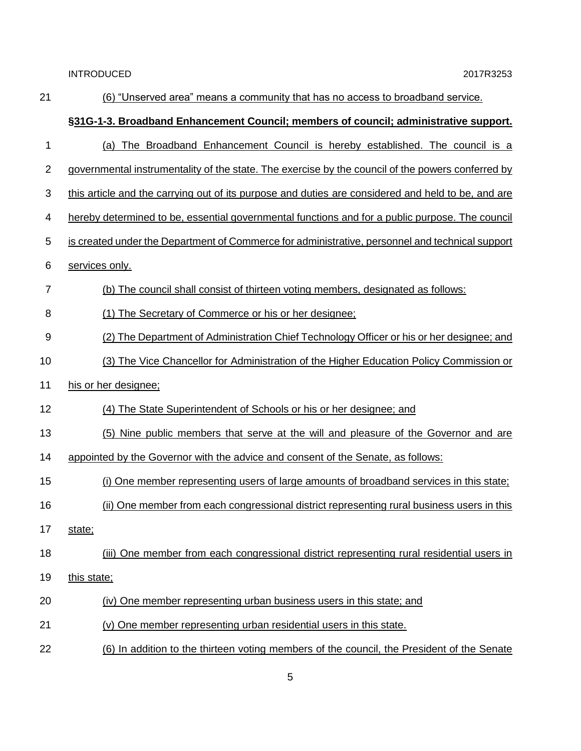| 21             | (6) "Unserved area" means a community that has no access to broadband service.                     |
|----------------|----------------------------------------------------------------------------------------------------|
|                | §31G-1-3. Broadband Enhancement Council; members of council; administrative support.               |
| 1              | (a) The Broadband Enhancement Council is hereby established. The council is a                      |
| $\overline{2}$ | governmental instrumentality of the state. The exercise by the council of the powers conferred by  |
| 3              | this article and the carrying out of its purpose and duties are considered and held to be, and are |
| 4              | hereby determined to be, essential governmental functions and for a public purpose. The council    |
| 5              | is created under the Department of Commerce for administrative, personnel and technical support    |
| 6              | services only.                                                                                     |
| $\overline{7}$ | (b) The council shall consist of thirteen voting members, designated as follows:                   |
| 8              | (1) The Secretary of Commerce or his or her designee;                                              |
| 9              | (2) The Department of Administration Chief Technology Officer or his or her designee; and          |
| 10             | (3) The Vice Chancellor for Administration of the Higher Education Policy Commission or            |
| 11             | his or her designee:                                                                               |
| 12             | (4) The State Superintendent of Schools or his or her designee; and                                |
| 13             | (5) Nine public members that serve at the will and pleasure of the Governor and are                |
| 14             | appointed by the Governor with the advice and consent of the Senate, as follows:                   |
| 15             | (i) One member representing users of large amounts of broadband services in this state;            |
| 16             | (ii) One member from each congressional district representing rural business users in this         |
| 17             | state;                                                                                             |
| 18             | (iii) One member from each congressional district representing rural residential users in          |
| 19             | this state;                                                                                        |
| 20             | (iv) One member representing urban business users in this state; and                               |
| 21             | (v) One member representing urban residential users in this state.                                 |
| 22             | (6) In addition to the thirteen voting members of the council, the President of the Senate         |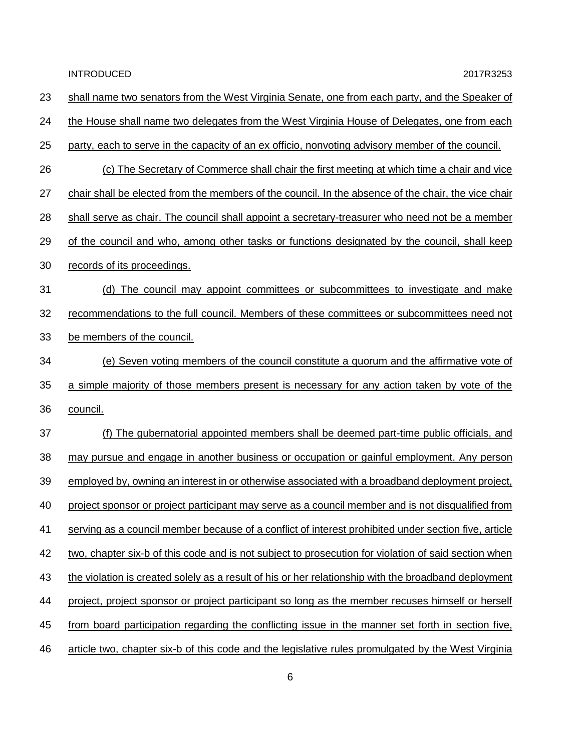| 23 | shall name two senators from the West Virginia Senate, one from each party, and the Speaker of       |
|----|------------------------------------------------------------------------------------------------------|
| 24 | the House shall name two delegates from the West Virginia House of Delegates, one from each          |
| 25 | party, each to serve in the capacity of an ex officio, nonvoting advisory member of the council.     |
| 26 | (c) The Secretary of Commerce shall chair the first meeting at which time a chair and vice           |
| 27 | chair shall be elected from the members of the council. In the absence of the chair, the vice chair  |
| 28 | shall serve as chair. The council shall appoint a secretary-treasurer who need not be a member       |
| 29 | of the council and who, among other tasks or functions designated by the council, shall keep         |
| 30 | records of its proceedings.                                                                          |
| 31 | (d) The council may appoint committees or subcommittees to investigate and make                      |
| 32 | recommendations to the full council. Members of these committees or subcommittees need not           |
| 33 | be members of the council.                                                                           |
| 34 | (e) Seven voting members of the council constitute a quorum and the affirmative vote of              |
| 35 | a simple majority of those members present is necessary for any action taken by vote of the          |
| 36 | council.                                                                                             |
| 37 | (f) The gubernatorial appointed members shall be deemed part-time public officials, and              |
| 38 | may pursue and engage in another business or occupation or gainful employment. Any person            |
| 39 | employed by, owning an interest in or otherwise associated with a broadband deployment project,      |
| 40 | project sponsor or project participant may serve as a council member and is not disqualified from    |
| 41 | serving as a council member because of a conflict of interest prohibited under section five, article |
| 42 | two, chapter six-b of this code and is not subject to prosecution for violation of said section when |
| 43 | the violation is created solely as a result of his or her relationship with the broadband deployment |
| 44 | project, project sponsor or project participant so long as the member recuses himself or herself     |
| 45 | from board participation regarding the conflicting issue in the manner set forth in section five,    |
| 46 | article two, chapter six-b of this code and the legislative rules promulgated by the West Virginia   |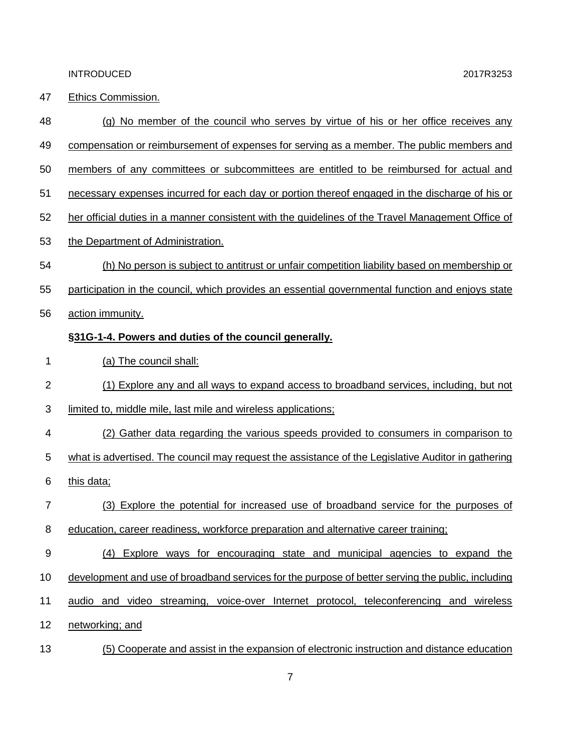47 Ethics Commission.

| 48 | (g) No member of the council who serves by virtue of his or her office receives any                |
|----|----------------------------------------------------------------------------------------------------|
| 49 | compensation or reimbursement of expenses for serving as a member. The public members and          |
| 50 | members of any committees or subcommittees are entitled to be reimbursed for actual and            |
| 51 | necessary expenses incurred for each day or portion thereof engaged in the discharge of his or     |
| 52 | her official duties in a manner consistent with the guidelines of the Travel Management Office of  |
| 53 | the Department of Administration.                                                                  |
| 54 | (h) No person is subject to antitrust or unfair competition liability based on membership or       |
| 55 | participation in the council, which provides an essential governmental function and enjoys state   |
| 56 | action immunity.                                                                                   |
|    | §31G-1-4. Powers and duties of the council generally.                                              |
| 1  | (a) The council shall:                                                                             |
| 2  | (1) Explore any and all ways to expand access to broadband services, including, but not            |
| 3  | limited to, middle mile, last mile and wireless applications;                                      |
| 4  | (2) Gather data regarding the various speeds provided to consumers in comparison to                |
| 5  | what is advertised. The council may request the assistance of the Legislative Auditor in gathering |
| 6  | this data;                                                                                         |
| 7  | (3) Explore the potential for increased use of broadband service for the purposes of               |
| 8  | education, career readiness, workforce preparation and alternative career training;                |
| 9  | Explore ways for encouraging state and municipal agencies to expand the<br>(4)                     |
| 10 | development and use of broadband services for the purpose of better serving the public, including  |
| 11 | audio and video streaming, voice-over Internet protocol, teleconferencing and wireless             |
| 12 | networking; and                                                                                    |
| 13 | (5) Cooperate and assist in the expansion of electronic instruction and distance education         |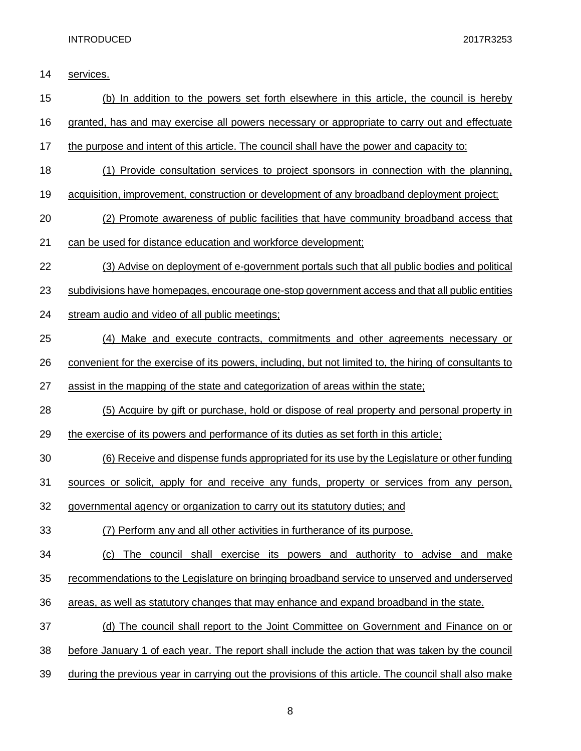services.

| 15 | (b) In addition to the powers set forth elsewhere in this article, the council is hereby               |
|----|--------------------------------------------------------------------------------------------------------|
| 16 | granted, has and may exercise all powers necessary or appropriate to carry out and effectuate          |
| 17 | the purpose and intent of this article. The council shall have the power and capacity to:              |
| 18 | (1) Provide consultation services to project sponsors in connection with the planning,                 |
| 19 | acquisition, improvement, construction or development of any broadband deployment project;             |
| 20 | (2) Promote awareness of public facilities that have community broadband access that                   |
| 21 | can be used for distance education and workforce development;                                          |
| 22 | (3) Advise on deployment of e-government portals such that all public bodies and political             |
| 23 | subdivisions have homepages, encourage one-stop government access and that all public entities         |
| 24 | stream audio and video of all public meetings;                                                         |
| 25 | (4) Make and execute contracts, commitments and other agreements necessary or                          |
| 26 | convenient for the exercise of its powers, including, but not limited to, the hiring of consultants to |
| 27 | assist in the mapping of the state and categorization of areas within the state;                       |
| 28 | (5) Acquire by gift or purchase, hold or dispose of real property and personal property in             |
| 29 | the exercise of its powers and performance of its duties as set forth in this article;                 |
| 30 | (6) Receive and dispense funds appropriated for its use by the Legislature or other funding            |
| 31 | sources or solicit, apply for and receive any funds, property or services from any person,             |
| 32 | governmental agency or organization to carry out its statutory duties; and                             |
| 33 | (7) Perform any and all other activities in furtherance of its purpose.                                |
| 34 | The council shall exercise its powers and authority to advise and make<br>(c)                          |
| 35 | recommendations to the Legislature on bringing broadband service to unserved and underserved           |
| 36 | areas, as well as statutory changes that may enhance and expand broadband in the state.                |
| 37 | (d) The council shall report to the Joint Committee on Government and Finance on or                    |
| 38 | before January 1 of each year. The report shall include the action that was taken by the council       |
| 39 | during the previous year in carrying out the provisions of this article. The council shall also make   |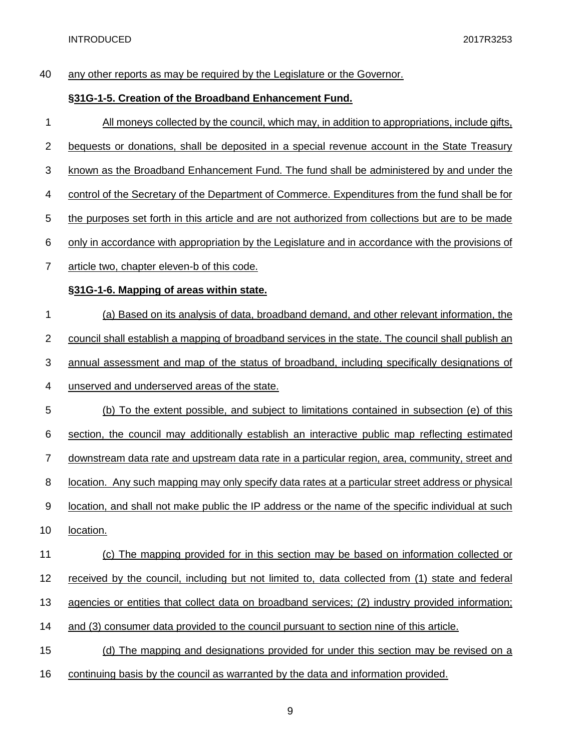| 40             | any other reports as may be required by the Legislature or the Governor.                                 |
|----------------|----------------------------------------------------------------------------------------------------------|
|                | §31G-1-5. Creation of the Broadband Enhancement Fund.                                                    |
| 1              | All moneys collected by the council, which may, in addition to appropriations, include gifts,            |
| $\overline{c}$ | bequests or donations, shall be deposited in a special revenue account in the State Treasury             |
| 3              | known as the Broadband Enhancement Fund. The fund shall be administered by and under the                 |
| 4              | control of the Secretary of the Department of Commerce. Expenditures from the fund shall be for          |
| 5              | the purposes set forth in this article and are not authorized from collections but are to be made        |
| 6              | only in accordance with appropriation by the Legislature and in accordance with the provisions of        |
| 7              | article two, chapter eleven-b of this code.                                                              |
|                | §31G-1-6. Mapping of areas within state.                                                                 |
| 1              | (a) Based on its analysis of data, broadband demand, and other relevant information, the                 |
| $\overline{c}$ | council shall establish a mapping of broadband services in the state. The council shall publish an       |
| 3              | annual assessment and map of the status of broadband, including specifically designations of             |
| 4              | unserved and underserved areas of the state.                                                             |
| 5              | (b) To the extent possible, and subject to limitations contained in subsection (e) of this               |
| 6              | section, the council may additionally establish an interactive public map reflecting estimated           |
| 7              | downstream data rate and upstream data rate in a particular region, area, community, street and          |
| 8              | <u>location. Any such mapping may only specify data rates at a particular street address or physical</u> |
| 9              | location, and shall not make public the IP address or the name of the specific individual at such        |
| 10             | location.                                                                                                |
| 11             | (c) The mapping provided for in this section may be based on information collected or                    |
| 12             | received by the council, including but not limited to, data collected from (1) state and federal         |
| 13             | agencies or entities that collect data on broadband services; (2) industry provided information;         |
| 14             | and (3) consumer data provided to the council pursuant to section nine of this article.                  |
| 15             | (d) The mapping and designations provided for under this section may be revised on a                     |
| 16             | continuing basis by the council as warranted by the data and information provided.                       |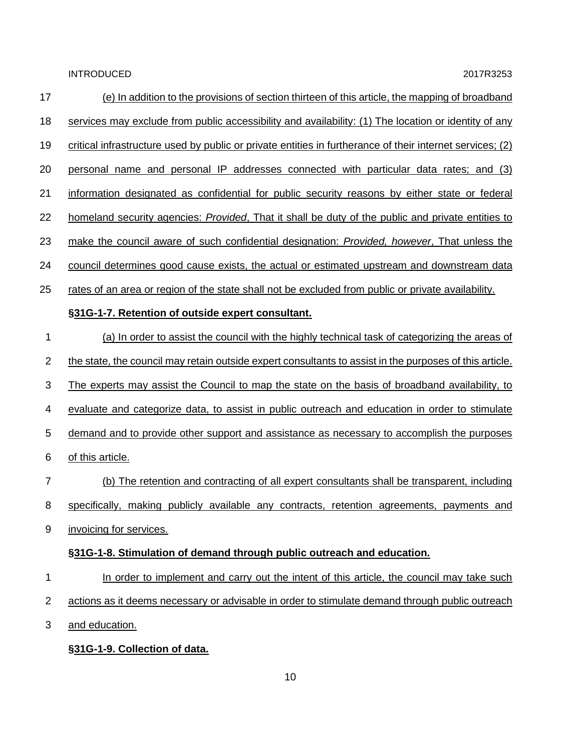| 17             | (e) In addition to the provisions of section thirteen of this article, the mapping of broadband           |
|----------------|-----------------------------------------------------------------------------------------------------------|
| 18             | services may exclude from public accessibility and availability: (1) The location or identity of any      |
| 19             | critical infrastructure used by public or private entities in furtherance of their internet services; (2) |
| 20             | personal name and personal IP addresses connected with particular data rates; and (3)                     |
| 21             | information designated as confidential for public security reasons by either state or federal             |
| 22             | homeland security agencies: <i>Provided</i> , That it shall be duty of the public and private entities to |
| 23             | make the council aware of such confidential designation: Provided, however, That unless the               |
| 24             | council determines good cause exists, the actual or estimated upstream and downstream data                |
| 25             | rates of an area or region of the state shall not be excluded from public or private availability.        |
|                | §31G-1-7. Retention of outside expert consultant.                                                         |
| 1              | (a) In order to assist the council with the highly technical task of categorizing the areas of            |
| $\overline{2}$ | the state, the council may retain outside expert consultants to assist in the purposes of this article.   |
| 3              | <u>The experts may assist the Council to map the state on the basis of broadband availability, to</u>     |
| 4              | evaluate and categorize data, to assist in public outreach and education in order to stimulate            |
| 5              | demand and to provide other support and assistance as necessary to accomplish the purposes                |
| 6              | of this article.                                                                                          |
| 7              | (b) The retention and contracting of all expert consultants shall be transparent, including               |
| 8              | specifically, making publicly available any contracts, retention agreements, payments and                 |
| 9              | invoicing for services.                                                                                   |
|                | §31G-1-8. Stimulation of demand through public outreach and education.                                    |
| 1              | In order to implement and carry out the intent of this article, the council may take such                 |
| $\overline{2}$ | actions as it deems necessary or advisable in order to stimulate demand through public outreach           |
| 3              | and education.                                                                                            |
|                | §31G-1-9. Collection of data.                                                                             |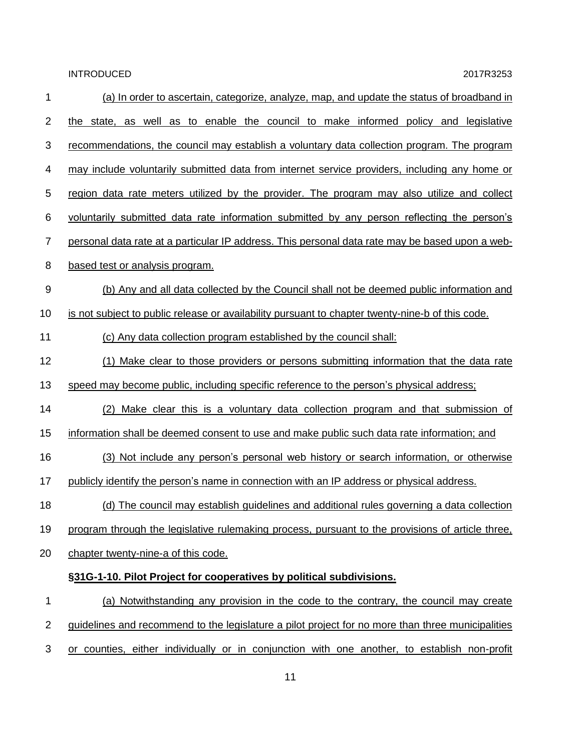| 1              | (a) In order to ascertain, categorize, analyze, map, and update the status of broadband in        |
|----------------|---------------------------------------------------------------------------------------------------|
| 2              | the state, as well as to enable the council to make informed policy and legislative               |
| 3              | recommendations, the council may establish a voluntary data collection program. The program       |
| 4              | may include voluntarily submitted data from internet service providers, including any home or     |
| 5              | region data rate meters utilized by the provider. The program may also utilize and collect        |
| 6              | voluntarily submitted data rate information submitted by any person reflecting the person's       |
| $\overline{7}$ | personal data rate at a particular IP address. This personal data rate may be based upon a web-   |
| 8              | based test or analysis program.                                                                   |
| $9\,$          | (b) Any and all data collected by the Council shall not be deemed public information and          |
| 10             | is not subject to public release or availability pursuant to chapter twenty-nine-b of this code.  |
| 11             | (c) Any data collection program established by the council shall:                                 |
| 12             | (1) Make clear to those providers or persons submitting information that the data rate            |
| 13             | speed may become public, including specific reference to the person's physical address;           |
| 14             | (2) Make clear this is a voluntary data collection program and that submission of                 |
| 15             | information shall be deemed consent to use and make public such data rate information; and        |
| 16             | (3) Not include any person's personal web history or search information, or otherwise             |
| 17             | publicly identify the person's name in connection with an IP address or physical address.         |
| 18             | (d) The council may establish guidelines and additional rules governing a data collection         |
| 19             | program through the legislative rulemaking process, pursuant to the provisions of article three,  |
| 20             | chapter twenty-nine-a of this code.                                                               |
|                | §31G-1-10. Pilot Project for cooperatives by political subdivisions.                              |
| 1              | (a) Notwithstanding any provision in the code to the contrary, the council may create             |
| $\overline{2}$ | guidelines and recommend to the legislature a pilot project for no more than three municipalities |
| 3              | or counties, either individually or in conjunction with one another, to establish non-profit      |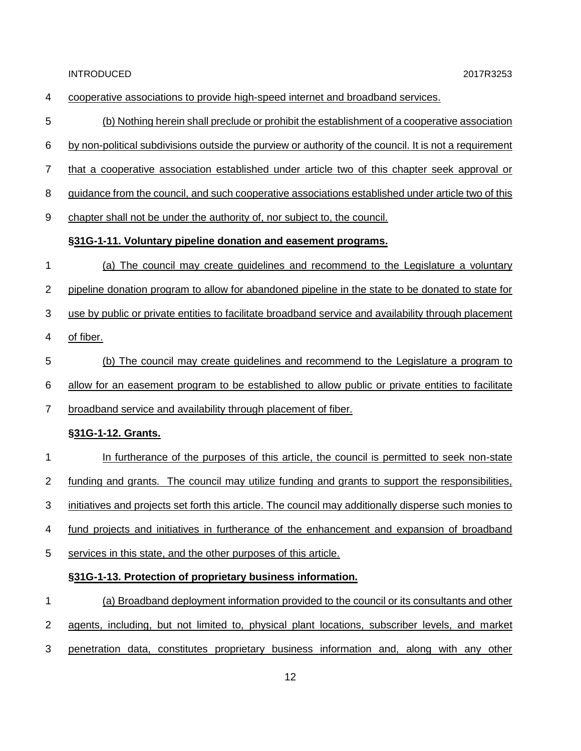| 4 | cooperative associations to provide high-speed internet and broadband services.                        |
|---|--------------------------------------------------------------------------------------------------------|
| 5 | (b) Nothing herein shall preclude or prohibit the establishment of a cooperative association           |
| 6 | by non-political subdivisions outside the purview or authority of the council. It is not a requirement |
| 7 | that a cooperative association established under article two of this chapter seek approval or          |
| 8 | guidance from the council, and such cooperative associations established under article two of this     |
| 9 | chapter shall not be under the authority of, nor subject to, the council.                              |
|   | §31G-1-11. Voluntary pipeline donation and easement programs.                                          |
| 1 | (a) The council may create guidelines and recommend to the Legislature a voluntary                     |
| 2 | pipeline donation program to allow for abandoned pipeline in the state to be donated to state for      |
| 3 | use by public or private entities to facilitate broadband service and availability through placement   |
| 4 | of fiber.                                                                                              |
| 5 | (b) The council may create guidelines and recommend to the Legislature a program to                    |
| 6 | allow for an easement program to be established to allow public or private entities to facilitate      |
| 7 | broadband service and availability through placement of fiber.                                         |
|   | §31G-1-12. Grants.                                                                                     |
| 1 | In furtherance of the purposes of this article, the council is permitted to seek non-state             |
| 2 | funding and grants. The council may utilize funding and grants to support the responsibilities,        |
| 3 | initiatives and projects set forth this article. The council may additionally disperse such monies to  |
| 4 | fund projects and initiatives in furtherance of the enhancement and expansion of broadband             |
| 5 | services in this state, and the other purposes of this article.                                        |
|   | §31G-1-13. Protection of proprietary business information.                                             |
| 1 | (a) Broadband deployment information provided to the council or its consultants and other              |
| 2 | agents, including, but not limited to, physical plant locations, subscriber levels, and market         |
| 3 | penetration data, constitutes proprietary business information and, along with any other               |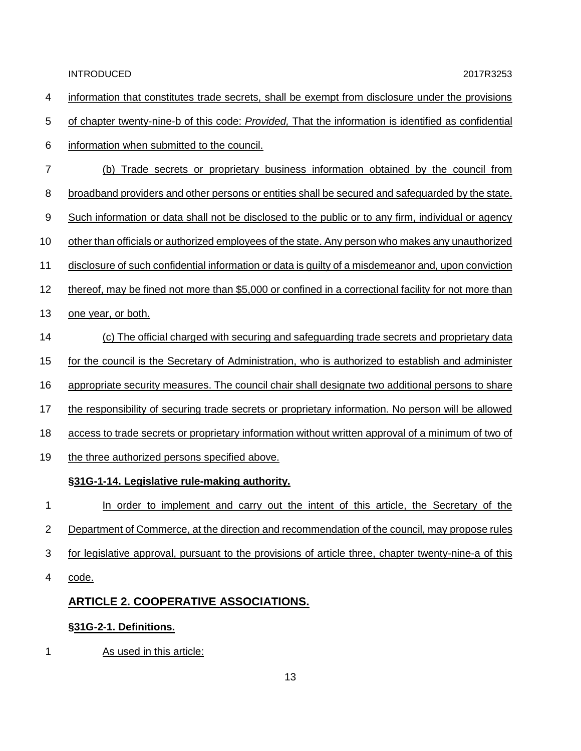- information that constitutes trade secrets, shall be exempt from disclosure under the provisions
- of chapter twenty-nine-b of this code: *Provided,* That the information is identified as confidential
- information when submitted to the council.
- (b) Trade secrets or proprietary business information obtained by the council from
- broadband providers and other persons or entities shall be secured and safeguarded by the state.
- Such information or data shall not be disclosed to the public or to any firm, individual or agency
- other than officials or authorized employees of the state. Any person who makes any unauthorized
- disclosure of such confidential information or data is guilty of a misdemeanor and, upon conviction
- thereof, may be fined not more than \$5,000 or confined in a correctional facility for not more than
- one year, or both.
- (c) The official charged with securing and safeguarding trade secrets and proprietary data
- for the council is the Secretary of Administration, who is authorized to establish and administer
- appropriate security measures. The council chair shall designate two additional persons to share
- the responsibility of securing trade secrets or proprietary information. No person will be allowed
- access to trade secrets or proprietary information without written approval of a minimum of two of
- 19 the three authorized persons specified above.

#### **§31G-1-14. Legislative rule-making authority.**

- In order to implement and carry out the intent of this article, the Secretary of the 2 Department of Commerce, at the direction and recommendation of the council, may propose rules for legislative approval, pursuant to the provisions of article three, chapter twenty-nine-a of this
- code.

#### **ARTICLE 2. COOPERATIVE ASSOCIATIONS.**

#### **§31G-2-1. Definitions.**

1 As used in this article: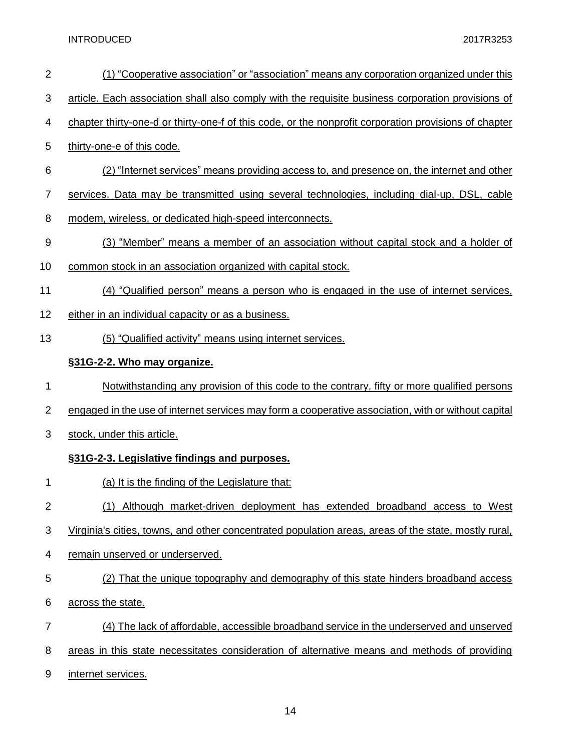| $\overline{2}$   | (1) "Cooperative association" or "association" means any corporation organized under this             |
|------------------|-------------------------------------------------------------------------------------------------------|
| 3                | article. Each association shall also comply with the requisite business corporation provisions of     |
| 4                | chapter thirty-one-d or thirty-one-f of this code, or the nonprofit corporation provisions of chapter |
| 5                | thirty-one-e of this code.                                                                            |
| 6                | (2) "Internet services" means providing access to, and presence on, the internet and other            |
| $\overline{7}$   | services. Data may be transmitted using several technologies, including dial-up, DSL, cable           |
| 8                | modem, wireless, or dedicated high-speed interconnects.                                               |
| $\boldsymbol{9}$ | (3) "Member" means a member of an association without capital stock and a holder of                   |
| 10               | common stock in an association organized with capital stock.                                          |
| 11               | (4) "Qualified person" means a person who is engaged in the use of internet services,                 |
| 12               | either in an individual capacity or as a business.                                                    |
| 13               | (5) "Qualified activity" means using internet services.                                               |
|                  | §31G-2-2. Who may organize.                                                                           |
| 1                | Notwithstanding any provision of this code to the contrary, fifty or more qualified persons           |
| $\overline{2}$   | engaged in the use of internet services may form a cooperative association, with or without capital   |
| 3                | stock, under this article.                                                                            |
|                  | §31G-2-3. Legislative findings and purposes.                                                          |
| 1                | (a) It is the finding of the Legislature that:                                                        |
| $\overline{2}$   | (1) Although market-driven deployment has extended broadband access to West                           |
| 3                | Virginia's cities, towns, and other concentrated population areas, areas of the state, mostly rural,  |
| 4                | remain unserved or underserved.                                                                       |
| 5                | (2) That the unique topography and demography of this state hinders broadband access                  |
| 6                | across the state.                                                                                     |
| $\overline{7}$   | (4) The lack of affordable, accessible broadband service in the underserved and unserved              |
| 8                |                                                                                                       |
|                  | areas in this state necessitates consideration of alternative means and methods of providing          |
| 9                | internet services.                                                                                    |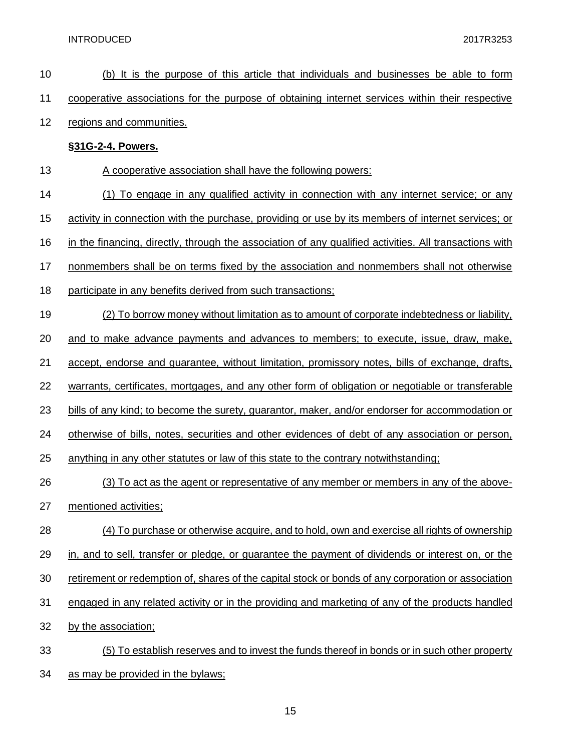| 10 | (b) It is the purpose of this article that individuals and businesses be able to form                  |
|----|--------------------------------------------------------------------------------------------------------|
| 11 | cooperative associations for the purpose of obtaining internet services within their respective        |
| 12 | regions and communities.                                                                               |
|    | §31G-2-4. Powers.                                                                                      |
| 13 | A cooperative association shall have the following powers:                                             |
| 14 | (1) To engage in any qualified activity in connection with any internet service; or any                |
| 15 | activity in connection with the purchase, providing or use by its members of internet services; or     |
| 16 | in the financing, directly, through the association of any qualified activities. All transactions with |
| 17 | nonmembers shall be on terms fixed by the association and nonmembers shall not otherwise               |
| 18 | participate in any benefits derived from such transactions;                                            |
| 19 | (2) To borrow money without limitation as to amount of corporate indebtedness or liability,            |
| 20 | and to make advance payments and advances to members; to execute, issue, draw, make,                   |
| 21 | accept, endorse and guarantee, without limitation, promissory notes, bills of exchange, drafts,        |
| 22 | warrants, certificates, mortgages, and any other form of obligation or negotiable or transferable      |
| 23 | bills of any kind; to become the surety, guarantor, maker, and/or endorser for accommodation or        |
| 24 | otherwise of bills, notes, securities and other evidences of debt of any association or person,        |
| 25 | anything in any other statutes or law of this state to the contrary notwithstanding;                   |
| 26 | (3) To act as the agent or representative of any member or members in any of the above-                |
| 27 | mentioned activities;                                                                                  |
| 28 | (4) To purchase or otherwise acquire, and to hold, own and exercise all rights of ownership            |
| 29 | in, and to sell, transfer or pledge, or guarantee the payment of dividends or interest on, or the      |
| 30 | retirement or redemption of, shares of the capital stock or bonds of any corporation or association    |
| 31 | engaged in any related activity or in the providing and marketing of any of the products handled       |
| 32 | by the association;                                                                                    |
| 33 | (5) To establish reserves and to invest the funds thereof in bonds or in such other property           |
| 34 | as may be provided in the bylaws;                                                                      |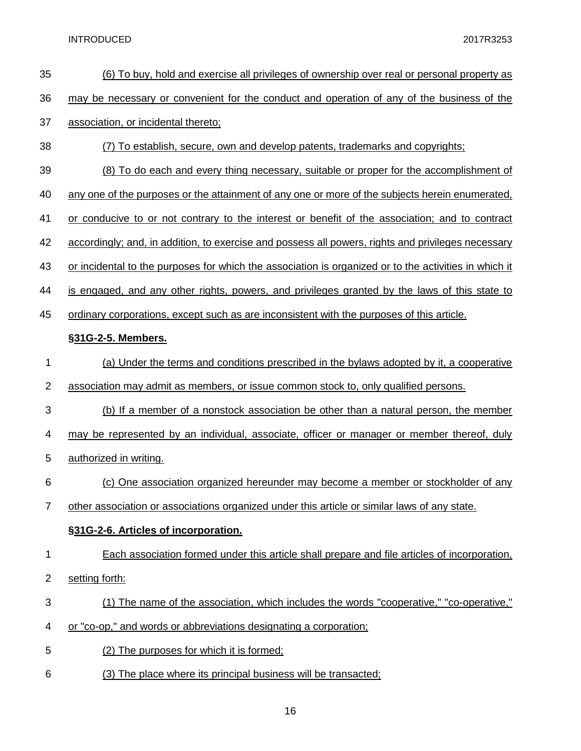| 35             | (6) To buy, hold and exercise all privileges of ownership over real or personal property as           |
|----------------|-------------------------------------------------------------------------------------------------------|
| 36             | may be necessary or convenient for the conduct and operation of any of the business of the            |
| 37             | association, or incidental thereto;                                                                   |
| 38             | (7) To establish, secure, own and develop patents, trademarks and copyrights;                         |
| 39             | (8) To do each and every thing necessary, suitable or proper for the accomplishment of                |
| 40             | any one of the purposes or the attainment of any one or more of the subjects herein enumerated,       |
| 41             | or conducive to or not contrary to the interest or benefit of the association; and to contract        |
| 42             | accordingly; and, in addition, to exercise and possess all powers, rights and privileges necessary    |
| 43             | or incidental to the purposes for which the association is organized or to the activities in which it |
| 44             | is engaged, and any other rights, powers, and privileges granted by the laws of this state to         |
| 45             | ordinary corporations, except such as are inconsistent with the purposes of this article.             |
|                | §31G-2-5. Members.                                                                                    |
| 1              | (a) Under the terms and conditions prescribed in the bylaws adopted by it, a cooperative              |
| $\overline{2}$ | association may admit as members, or issue common stock to, only qualified persons.                   |
| 3              | (b) If a member of a nonstock association be other than a natural person, the member                  |
| 4              | may be represented by an individual, associate, officer or manager or member thereof, duly            |
| 5              | authorized in writing.                                                                                |
| 6              | (c) One association organized hereunder may become a member or stockholder of any                     |
| $\overline{7}$ | other association or associations organized under this article or similar laws of any state.          |
|                | §31G-2-6. Articles of incorporation.                                                                  |
| 1              | Each association formed under this article shall prepare and file articles of incorporation,          |
| 2              | setting forth:                                                                                        |
| 3              | (1) The name of the association, which includes the words "cooperative," "co-operative,"              |
| 4              | or "co-op," and words or abbreviations designating a corporation;                                     |
| 5              | (2) The purposes for which it is formed;                                                              |
| 6              | (3) The place where its principal business will be transacted;                                        |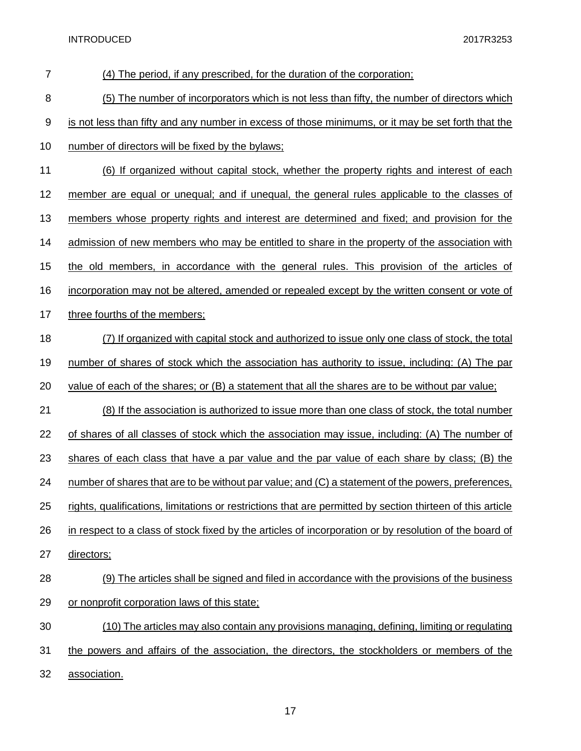| $\overline{7}$ | (4) The period, if any prescribed, for the duration of the corporation;                                    |
|----------------|------------------------------------------------------------------------------------------------------------|
| 8              | (5) The number of incorporators which is not less than fifty, the number of directors which                |
| 9              | is not less than fifty and any number in excess of those minimums, or it may be set forth that the         |
| 10             | number of directors will be fixed by the bylaws;                                                           |
| 11             | (6) If organized without capital stock, whether the property rights and interest of each                   |
| 12             | member are equal or unequal; and if unequal, the general rules applicable to the classes of                |
| 13             | members whose property rights and interest are determined and fixed; and provision for the                 |
| 14             | admission of new members who may be entitled to share in the property of the association with              |
| 15             | the old members, in accordance with the general rules. This provision of the articles of                   |
| 16             | incorporation may not be altered, amended or repealed except by the written consent or vote of             |
| 17             | three fourths of the members;                                                                              |
| 18             | (7) If organized with capital stock and authorized to issue only one class of stock, the total             |
| 19             | number of shares of stock which the association has authority to issue, including: (A) The par             |
| 20             | value of each of the shares; or $(B)$ a statement that all the shares are to be without par value;         |
| 21             | (8) If the association is authorized to issue more than one class of stock, the total number               |
| 22             | of shares of all classes of stock which the association may issue, including: (A) The number of            |
| 23             | shares of each class that have a par value and the par value of each share by class; (B) the               |
| 24             | number of shares that are to be without par value; and (C) a statement of the powers, preferences,         |
| 25             | rights, qualifications, limitations or restrictions that are permitted by section thirteen of this article |
| 26             | in respect to a class of stock fixed by the articles of incorporation or by resolution of the board of     |
| 27             | directors;                                                                                                 |
| 28             | (9) The articles shall be signed and filed in accordance with the provisions of the business               |
| 29             | or nonprofit corporation laws of this state;                                                               |
| 30             | (10) The articles may also contain any provisions managing, defining, limiting or regulating               |
| 31             | the powers and affairs of the association, the directors, the stockholders or members of the               |
| 32             | association.                                                                                               |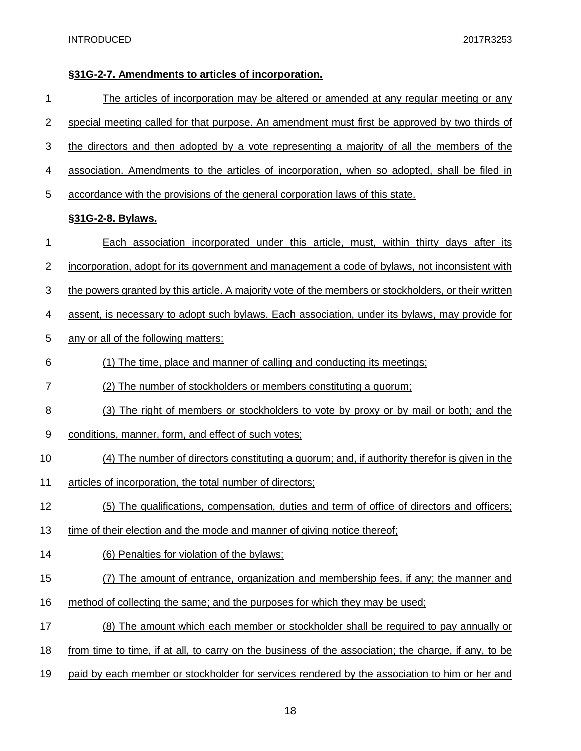### **§31G-2-7. Amendments to articles of incorporation.**

| 1  | <u>The articles of incorporation may be altered or amended at any regular meeting or any</u>         |
|----|------------------------------------------------------------------------------------------------------|
| 2  | special meeting called for that purpose. An amendment must first be approved by two thirds of        |
| 3  | the directors and then adopted by a vote representing a majority of all the members of the           |
| 4  | association. Amendments to the articles of incorporation, when so adopted, shall be filed in         |
| 5  | accordance with the provisions of the general corporation laws of this state.                        |
|    | §31G-2-8. Bylaws.                                                                                    |
| 1  | Each association incorporated under this article, must, within thirty days after its                 |
| 2  | incorporation, adopt for its government and management a code of bylaws, not inconsistent with       |
| 3  | the powers granted by this article. A majority vote of the members or stockholders, or their written |
| 4  | assent, is necessary to adopt such bylaws. Each association, under its bylaws, may provide for       |
| 5  | any or all of the following matters:                                                                 |
| 6  | (1) The time, place and manner of calling and conducting its meetings;                               |
| 7  | (2) The number of stockholders or members constituting a quorum;                                     |
| 8  | (3) The right of members or stockholders to vote by proxy or by mail or both; and the                |
| 9  | conditions, manner, form, and effect of such votes;                                                  |
| 10 | (4) The number of directors constituting a quorum; and, if authority therefor is given in the        |
| 11 | articles of incorporation, the total number of directors;                                            |
| 12 | (5) The qualifications, compensation, duties and term of office of directors and officers;           |
| 13 | time of their election and the mode and manner of giving notice thereof;                             |
| 14 | (6) Penalties for violation of the bylaws;                                                           |
| 15 | (7) The amount of entrance, organization and membership fees, if any; the manner and                 |
| 16 | method of collecting the same; and the purposes for which they may be used;                          |
| 17 | (8) The amount which each member or stockholder shall be required to pay annually or                 |
| 18 | from time to time, if at all, to carry on the business of the association; the charge, if any, to be |
| 19 | paid by each member or stockholder for services rendered by the association to him or her and        |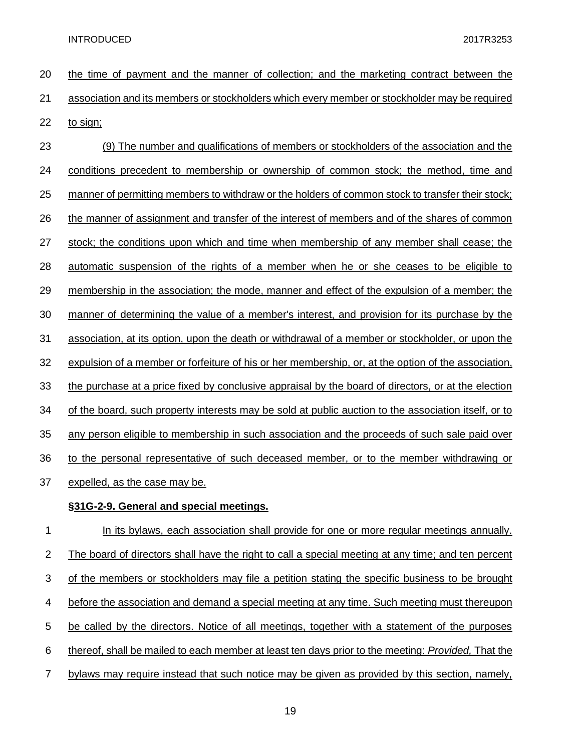| 20             | the time of payment and the manner of collection; and the marketing contract between the             |
|----------------|------------------------------------------------------------------------------------------------------|
| 21             | association and its members or stockholders which every member or stockholder may be required        |
| 22             | to sign;                                                                                             |
| 23             | (9) The number and qualifications of members or stockholders of the association and the              |
| 24             | conditions precedent to membership or ownership of common stock; the method, time and                |
| 25             | manner of permitting members to withdraw or the holders of common stock to transfer their stock;     |
| 26             | the manner of assignment and transfer of the interest of members and of the shares of common         |
| 27             | stock; the conditions upon which and time when membership of any member shall cease; the             |
| 28             | automatic suspension of the rights of a member when he or she ceases to be eligible to               |
| 29             | membership in the association; the mode, manner and effect of the expulsion of a member; the         |
| 30             | manner of determining the value of a member's interest, and provision for its purchase by the        |
| 31             | association, at its option, upon the death or withdrawal of a member or stockholder, or upon the     |
| 32             | expulsion of a member or forfeiture of his or her membership, or, at the option of the association,  |
| 33             | the purchase at a price fixed by conclusive appraisal by the board of directors, or at the election  |
| 34             | of the board, such property interests may be sold at public auction to the association itself, or to |
| 35             | any person eligible to membership in such association and the proceeds of such sale paid over        |
| 36             | to the personal representative of such deceased member, or to the member withdrawing or              |
| 37             | expelled, as the case may be.                                                                        |
|                | §31G-2-9. General and special meetings.                                                              |
| 1              | In its bylaws, each association shall provide for one or more regular meetings annually.             |
| $\overline{2}$ | The board of directors shall have the right to call a special meeting at any time; and ten percent   |

of the members or stockholders may file a petition stating the specific business to be brought

- before the association and demand a special meeting at any time. Such meeting must thereupon
- be called by the directors. Notice of all meetings, together with a statement of the purposes
- thereof, shall be mailed to each member at least ten days prior to the meeting: *Provided,* That the
- bylaws may require instead that such notice may be given as provided by this section, namely,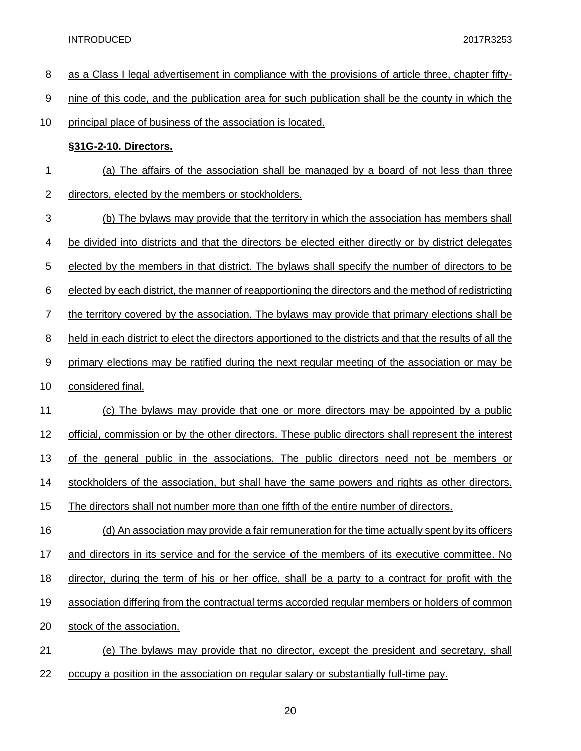| 8              | as a Class I legal advertisement in compliance with the provisions of article three, chapter fifty-       |
|----------------|-----------------------------------------------------------------------------------------------------------|
| 9              | nine of this code, and the publication area for such publication shall be the county in which the         |
| 10             | principal place of business of the association is located.                                                |
|                | §31G-2-10. Directors.                                                                                     |
| 1              | (a) The affairs of the association shall be managed by a board of not less than three                     |
| 2              | directors, elected by the members or stockholders.                                                        |
| 3              | (b) The bylaws may provide that the territory in which the association has members shall                  |
| 4              | be divided into districts and that the directors be elected either directly or by district delegates      |
| 5              | elected by the members in that district. The bylaws shall specify the number of directors to be           |
| 6              | elected by each district, the manner of reapportioning the directors and the method of redistricting      |
| $\overline{7}$ | the territory covered by the association. The bylaws may provide that primary elections shall be          |
| 8              | held in each district to elect the directors apportioned to the districts and that the results of all the |
| 9              | primary elections may be ratified during the next regular meeting of the association or may be            |
| 10             | considered final.                                                                                         |
| 11             | (c) The bylaws may provide that one or more directors may be appointed by a public                        |
| 12             | official, commission or by the other directors. These public directors shall represent the interest       |
| 13             | the general public in the associations. The public directors need not be members or<br>ot                 |
| 14             | stockholders of the association, but shall have the same powers and rights as other directors.            |
| 15             | The directors shall not number more than one fifth of the entire number of directors.                     |
| 16             | (d) An association may provide a fair remuneration for the time actually spent by its officers            |
| 17             | and directors in its service and for the service of the members of its executive committee. No            |
| 18             | director, during the term of his or her office, shall be a party to a contract for profit with the        |
| 19             | association differing from the contractual terms accorded regular members or holders of common            |
| 20             | stock of the association.                                                                                 |
| 21             | (e) The bylaws may provide that no director, except the president and secretary, shall                    |
|                |                                                                                                           |

22 occupy a position in the association on regular salary or substantially full-time pay.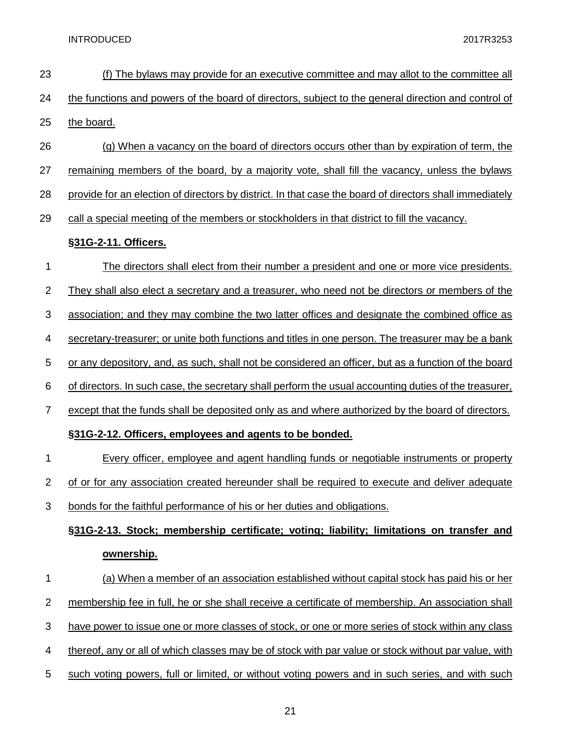| 23                        | <u>(f) The bylaws may provide for an executive committee and may allot to the committee all</u>         |
|---------------------------|---------------------------------------------------------------------------------------------------------|
| 24                        | the functions and powers of the board of directors, subject to the general direction and control of     |
| 25                        | the board.                                                                                              |
| 26                        | (g) When a vacancy on the board of directors occurs other than by expiration of term, the               |
| 27                        | remaining members of the board, by a majority vote, shall fill the vacancy, unless the bylaws           |
| 28                        | provide for an election of directors by district. In that case the board of directors shall immediately |
| 29                        | call a special meeting of the members or stockholders in that district to fill the vacancy.             |
|                           | §31G-2-11. Officers.                                                                                    |
| 1                         | The directors shall elect from their number a president and one or more vice presidents.                |
| $\mathbf 2$               | They shall also elect a secretary and a treasurer, who need not be directors or members of the          |
| 3                         | association; and they may combine the two latter offices and designate the combined office as           |
| 4                         | secretary-treasurer; or unite both functions and titles in one person. The treasurer may be a bank      |
| 5                         | or any depository, and, as such, shall not be considered an officer, but as a function of the board     |
| 6                         | of directors. In such case, the secretary shall perform the usual accounting duties of the treasurer,   |
| $\overline{7}$            | except that the funds shall be deposited only as and where authorized by the board of directors.        |
|                           | §31G-2-12. Officers, employees and agents to be bonded.                                                 |
| 1                         | Every officer, employee and agent handling funds or negotiable instruments or property                  |
| $\overline{2}$            | of or for any association created hereunder shall be required to execute and deliver adequate           |
| 3                         | bonds for the faithful performance of his or her duties and obligations.                                |
|                           | §31G-2-13. Stock; membership certificate; voting; liability; limitations on transfer and                |
|                           | ownership.                                                                                              |
| 1                         | (a) When a member of an association established without capital stock has paid his or her               |
| $\overline{c}$            | membership fee in full, he or she shall receive a certificate of membership. An association shall       |
| $\ensuremath{\mathsf{3}}$ | have power to issue one or more classes of stock, or one or more series of stock within any class       |
| 4                         | thereof, any or all of which classes may be of stock with par value or stock without par value, with    |
| 5                         | such voting powers, full or limited, or without voting powers and in such series, and with such         |
|                           |                                                                                                         |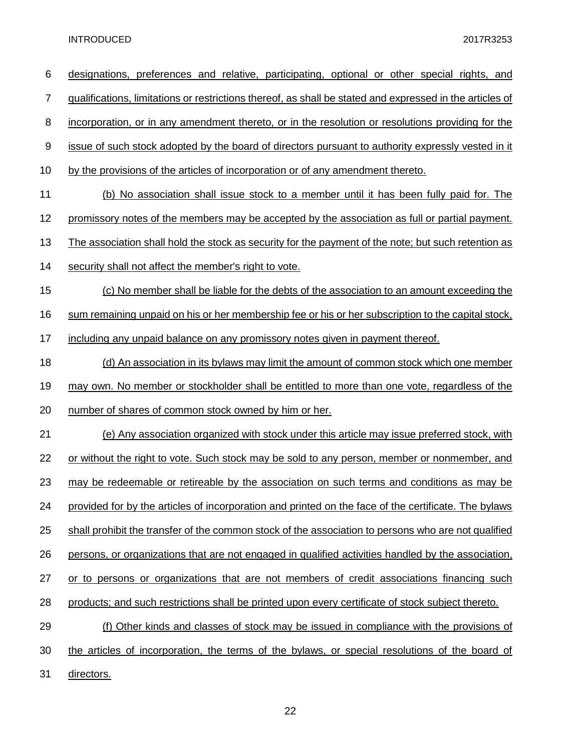| 6                | designations, preferences and relative, participating, optional or other special rights, and                    |
|------------------|-----------------------------------------------------------------------------------------------------------------|
| 7                | <u>qualifications, limitations or restrictions thereof, as shall be stated and expressed in the articles of</u> |
| 8                | incorporation, or in any amendment thereto, or in the resolution or resolutions providing for the               |
| $\boldsymbol{9}$ | issue of such stock adopted by the board of directors pursuant to authority expressly vested in it              |
| 10               | by the provisions of the articles of incorporation or of any amendment thereto.                                 |
| 11               | (b) No association shall issue stock to a member until it has been fully paid for. The                          |
| 12               | promissory notes of the members may be accepted by the association as full or partial payment.                  |
| 13               | The association shall hold the stock as security for the payment of the note; but such retention as             |
| 14               | security shall not affect the member's right to vote.                                                           |
| 15               | (c) No member shall be liable for the debts of the association to an amount exceeding the                       |
| 16               | sum remaining unpaid on his or her membership fee or his or her subscription to the capital stock,              |
| 17               | including any unpaid balance on any promissory notes given in payment thereof.                                  |
| 18               | (d) An association in its bylaws may limit the amount of common stock which one member                          |
| 19               | may own. No member or stockholder shall be entitled to more than one vote, regardless of the                    |
| 20               | number of shares of common stock owned by him or her.                                                           |
| 21               | (e) Any association organized with stock under this article may issue preferred stock, with                     |
| 22               | or without the right to vote. Such stock may be sold to any person, member or nonmember, and                    |
| 23               | may be redeemable or retireable by the association on such terms and conditions as may be                       |
| 24               | provided for by the articles of incorporation and printed on the face of the certificate. The bylaws            |
| 25               | shall prohibit the transfer of the common stock of the association to persons who are not qualified             |
| 26               | persons, or organizations that are not engaged in qualified activities handled by the association,              |
| 27               | or to persons or organizations that are not members of credit associations financing such                       |
| 28               | products; and such restrictions shall be printed upon every certificate of stock subject thereto.               |
| 29               | (f) Other kinds and classes of stock may be issued in compliance with the provisions of                         |
| 30               | the articles of incorporation, the terms of the bylaws, or special resolutions of the board of                  |
| 31               | directors.                                                                                                      |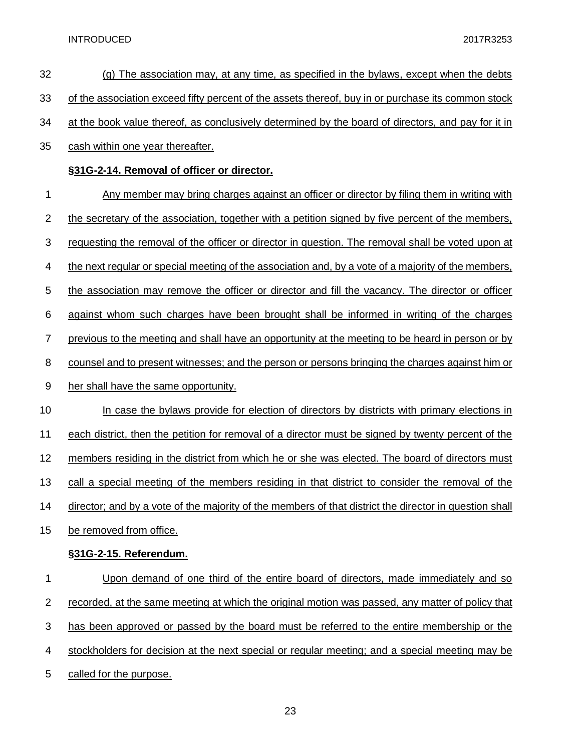| 32             | $(q)$ The association may, at any time, as specified in the bylaws, except when the debts              |
|----------------|--------------------------------------------------------------------------------------------------------|
| 33             | of the association exceed fifty percent of the assets thereof, buy in or purchase its common stock     |
| 34             | at the book value thereof, as conclusively determined by the board of directors, and pay for it in     |
| 35             | cash within one year thereafter.                                                                       |
|                | §31G-2-14. Removal of officer or director.                                                             |
| 1              | Any member may bring charges against an officer or director by filing them in writing with             |
| $\overline{2}$ | the secretary of the association, together with a petition signed by five percent of the members,      |
| 3              | requesting the removal of the officer or director in question. The removal shall be voted upon at      |
| 4              | the next regular or special meeting of the association and, by a vote of a majority of the members,    |
| 5              | the association may remove the officer or director and fill the vacancy. The director or officer       |
| 6              | against whom such charges have been brought shall be informed in writing of the charges                |
| $\overline{7}$ | previous to the meeting and shall have an opportunity at the meeting to be heard in person or by       |
| 8              | counsel and to present witnesses; and the person or persons bringing the charges against him or        |
| 9              | her shall have the same opportunity.                                                                   |
| 10             | In case the bylaws provide for election of directors by districts with primary elections in            |
| 11             |                                                                                                        |
| 12             | each district, then the petition for removal of a director must be signed by twenty percent of the     |
|                | members residing in the district from which he or she was elected. The board of directors must         |
| 13             | call a special meeting of the members residing in that district to consider the removal of the         |
| 14             | director; and by a vote of the majority of the members of that district the director in question shall |
| 15             | be removed from office.                                                                                |
|                | §31G-2-15. Referendum.                                                                                 |
| 1              | Upon demand of one third of the entire board of directors, made immediately and so                     |
| $\mathbf 2$    | recorded, at the same meeting at which the original motion was passed, any matter of policy that       |
| 3              | has been approved or passed by the board must be referred to the entire membership or the              |
| 4              | stockholders for decision at the next special or regular meeting; and a special meeting may be         |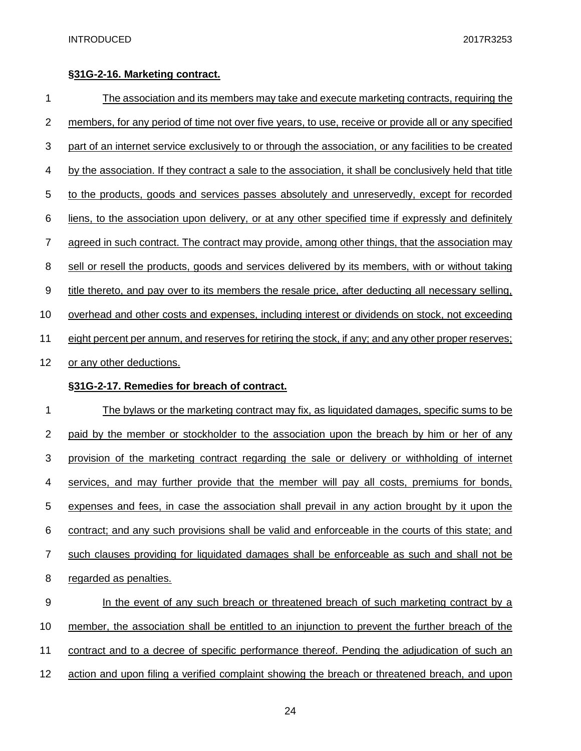#### **§31G-2-16. Marketing contract.**

| 1                | <u>The association and its members may take and execute marketing contracts, requiring the</u>           |
|------------------|----------------------------------------------------------------------------------------------------------|
| $\overline{2}$   | members, for any period of time not over five years, to use, receive or provide all or any specified     |
| 3                | part of an internet service exclusively to or through the association, or any facilities to be created   |
| 4                | by the association. If they contract a sale to the association, it shall be conclusively held that title |
| 5                | to the products, goods and services passes absolutely and unreservedly, except for recorded              |
| 6                | liens, to the association upon delivery, or at any other specified time if expressly and definitely      |
| 7                | agreed in such contract. The contract may provide, among other things, that the association may          |
| 8                | sell or resell the products, goods and services delivered by its members, with or without taking         |
| $\boldsymbol{9}$ | title thereto, and pay over to its members the resale price, after deducting all necessary selling,      |
| 10               | overhead and other costs and expenses, including interest or dividends on stock, not exceeding           |
| 11               | eight percent per annum, and reserves for retiring the stock, if any; and any other proper reserves;     |
| 12               | or any other deductions.                                                                                 |
|                  | §31G-2-17. Remedies for breach of contract.                                                              |
| 1                | The bylaws or the marketing contract may fix, as liquidated damages, specific sums to be                 |
| 2                | paid by the member or stockholder to the association upon the breach by him or her of any                |
| 3                | provision of the marketing contract regarding the sale or delivery or withholding of internet            |
| 4                | services, and may further provide that the member will pay all costs, premiums for bonds,                |
| 5                | expenses and fees, in case the association shall prevail in any action brought by it upon the            |
| 6                | contract; and any such provisions shall be valid and enforceable in the courts of this state; and        |
| 7                | such clauses providing for liquidated damages shall be enforceable as such and shall not be              |
| 8                | regarded as penalties.                                                                                   |
| 9                | In the event of any such breach or threatened breach of such marketing contract by a                     |
| 10               | member, the association shall be entitled to an injunction to prevent the further breach of the          |
| 11               | contract and to a decree of specific performance thereof. Pending the adjudication of such an            |
| 12               | action and upon filing a verified complaint showing the breach or threatened breach, and upon            |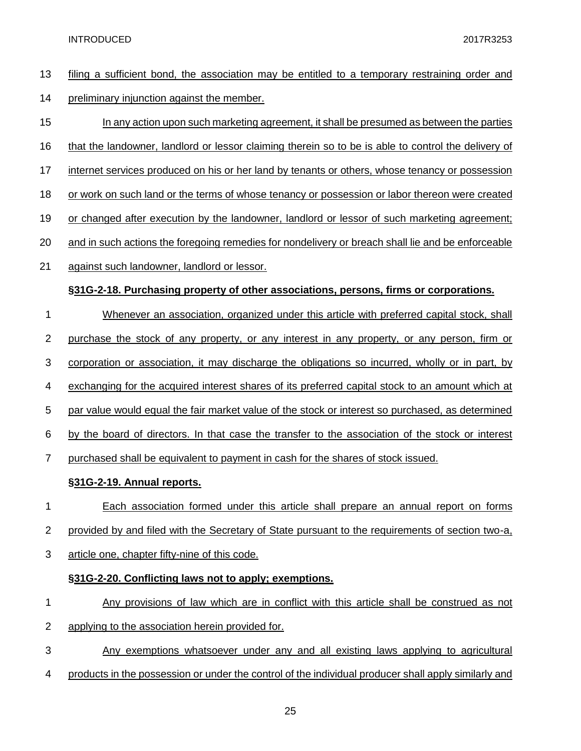filing a sufficient bond, the association may be entitled to a temporary restraining order and preliminary injunction against the member. In any action upon such marketing agreement, it shall be presumed as between the parties that the landowner, landlord or lessor claiming therein so to be is able to control the delivery of internet services produced on his or her land by tenants or others, whose tenancy or possession or work on such land or the terms of whose tenancy or possession or labor thereon were created 19 or changed after execution by the landowner, landlord or lessor of such marketing agreement; and in such actions the foregoing remedies for nondelivery or breach shall lie and be enforceable against such landowner, landlord or lessor. **§31G-2-18. Purchasing property of other associations, persons, firms or corporations.** Whenever an association, organized under this article with preferred capital stock, shall 2 purchase the stock of any property, or any interest in any property, or any person, firm or corporation or association, it may discharge the obligations so incurred, wholly or in part, by exchanging for the acquired interest shares of its preferred capital stock to an amount which at par value would equal the fair market value of the stock or interest so purchased, as determined by the board of directors. In that case the transfer to the association of the stock or interest 7 purchased shall be equivalent to payment in cash for the shares of stock issued. **§31G-2-19. Annual reports.** Each association formed under this article shall prepare an annual report on forms 2 provided by and filed with the Secretary of State pursuant to the requirements of section two-a, article one, chapter fifty-nine of this code. **§31G-2-20. Conflicting laws not to apply; exemptions.** Any provisions of law which are in conflict with this article shall be construed as not applying to the association herein provided for. Any exemptions whatsoever under any and all existing laws applying to agricultural products in the possession or under the control of the individual producer shall apply similarly and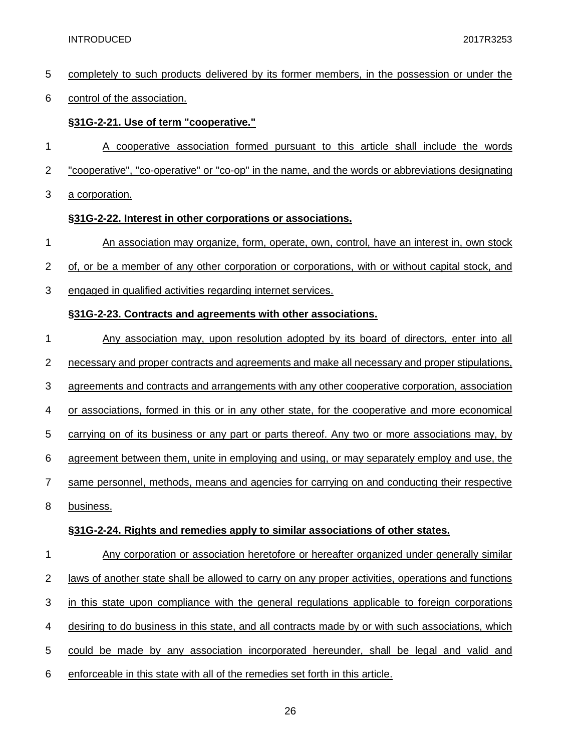completely to such products delivered by its former members, in the possession or under the

#### control of the association.

#### **§31G-2-21. Use of term "cooperative."**

- A cooperative association formed pursuant to this article shall include the words
- "cooperative", "co-operative" or "co-op" in the name, and the words or abbreviations designating
- a corporation.

#### **§31G-2-22. Interest in other corporations or associations.**

- An association may organize, form, operate, own, control, have an interest in, own stock
- of, or be a member of any other corporation or corporations, with or without capital stock, and
- engaged in qualified activities regarding internet services.

#### **§31G-2-23. Contracts and agreements with other associations.**

- 1 Any association may, upon resolution adopted by its board of directors, enter into all necessary and proper contracts and agreements and make all necessary and proper stipulations, agreements and contracts and arrangements with any other cooperative corporation, association or associations, formed in this or in any other state, for the cooperative and more economical carrying on of its business or any part or parts thereof. Any two or more associations may, by agreement between them, unite in employing and using, or may separately employ and use, the same personnel, methods, means and agencies for carrying on and conducting their respective business. **§31G-2-24. Rights and remedies apply to similar associations of other states.** Any corporation or association heretofore or hereafter organized under generally similar
- 2 laws of another state shall be allowed to carry on any proper activities, operations and functions in this state upon compliance with the general regulations applicable to foreign corporations desiring to do business in this state, and all contracts made by or with such associations, which could be made by any association incorporated hereunder, shall be legal and valid and enforceable in this state with all of the remedies set forth in this article.
	-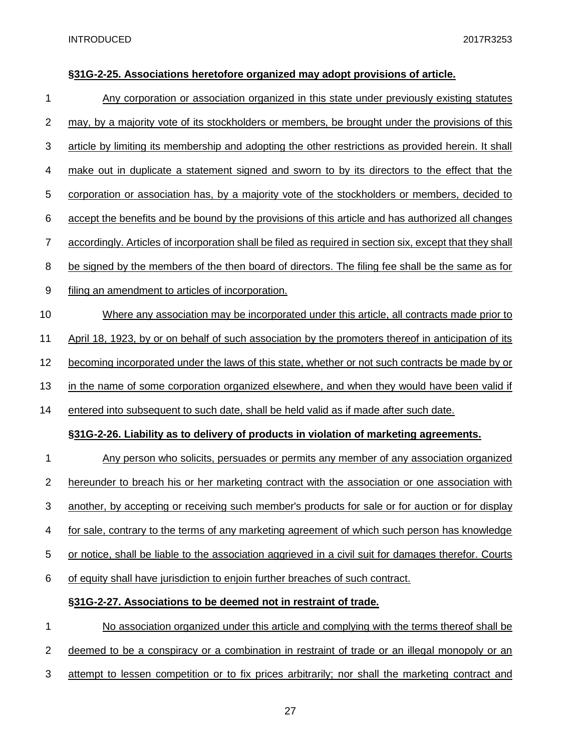#### **§31G-2-25. Associations heretofore organized may adopt provisions of article.**

 Any corporation or association organized in this state under previously existing statutes 2 may, by a majority vote of its stockholders or members, be brought under the provisions of this article by limiting its membership and adopting the other restrictions as provided herein. It shall make out in duplicate a statement signed and sworn to by its directors to the effect that the corporation or association has, by a majority vote of the stockholders or members, decided to accept the benefits and be bound by the provisions of this article and has authorized all changes accordingly. Articles of incorporation shall be filed as required in section six, except that they shall be signed by the members of the then board of directors. The filing fee shall be the same as for filing an amendment to articles of incorporation. Where any association may be incorporated under this article, all contracts made prior to 11 April 18, 1923, by or on behalf of such association by the promoters thereof in anticipation of its becoming incorporated under the laws of this state, whether or not such contracts be made by or 13 in the name of some corporation organized elsewhere, and when they would have been valid if entered into subsequent to such date, shall be held valid as if made after such date. **§31G-2-26. Liability as to delivery of products in violation of marketing agreements.** 1 Any person who solicits, persuades or permits any member of any association organized hereunder to breach his or her marketing contract with the association or one association with another, by accepting or receiving such member's products for sale or for auction or for display for sale, contrary to the terms of any marketing agreement of which such person has knowledge or notice, shall be liable to the association aggrieved in a civil suit for damages therefor. Courts of equity shall have jurisdiction to enjoin further breaches of such contract. **§31G-2-27. Associations to be deemed not in restraint of trade.** No association organized under this article and complying with the terms thereof shall be deemed to be a conspiracy or a combination in restraint of trade or an illegal monopoly or an attempt to lessen competition or to fix prices arbitrarily; nor shall the marketing contract and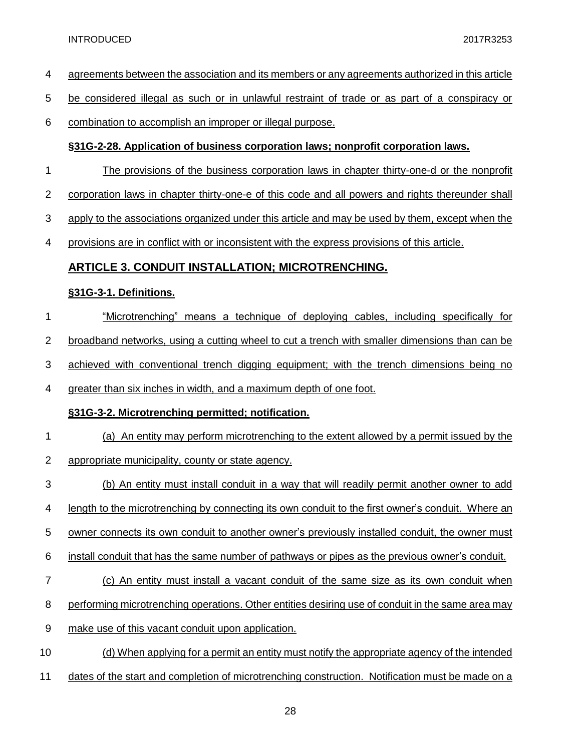- agreements between the association and its members or any agreements authorized in this article
- be considered illegal as such or in unlawful restraint of trade or as part of a conspiracy or
- combination to accomplish an improper or illegal purpose.

#### **§31G-2-28. Application of business corporation laws; nonprofit corporation laws.**

- The provisions of the business corporation laws in chapter thirty-one-d or the nonprofit
- corporation laws in chapter thirty-one-e of this code and all powers and rights thereunder shall
- apply to the associations organized under this article and may be used by them, except when the
- provisions are in conflict with or inconsistent with the express provisions of this article.

#### **ARTICLE 3. CONDUIT INSTALLATION; MICROTRENCHING.**

#### **§31G-3-1. Definitions.**

- "Microtrenching" means a technique of deploying cables, including specifically for
- broadband networks, using a cutting wheel to cut a trench with smaller dimensions than can be
- achieved with conventional trench digging equipment; with the trench dimensions being no
- greater than six inches in width, and a maximum depth of one foot.

#### **§31G-3-2. Microtrenching permitted; notification.**

- (a) An entity may perform microtrenching to the extent allowed by a permit issued by the
- appropriate municipality, county or state agency.
- (b) An entity must install conduit in a way that will readily permit another owner to add
- length to the microtrenching by connecting its own conduit to the first owner's conduit. Where an
- owner connects its own conduit to another owner's previously installed conduit, the owner must
- install conduit that has the same number of pathways or pipes as the previous owner's conduit.
- (c) An entity must install a vacant conduit of the same size as its own conduit when
- 8 performing microtrenching operations. Other entities desiring use of conduit in the same area may
- make use of this vacant conduit upon application.
- 10 (d) When applying for a permit an entity must notify the appropriate agency of the intended
- 11 dates of the start and completion of microtrenching construction. Notification must be made on a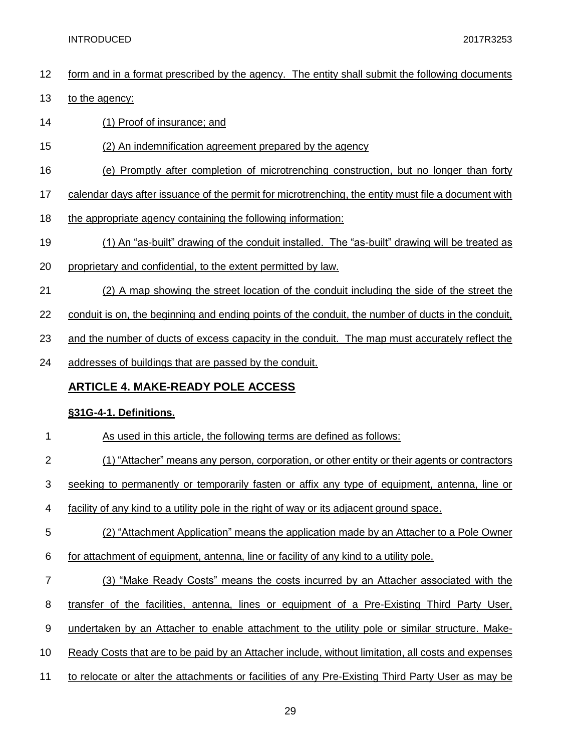- form and in a format prescribed by the agency. The entity shall submit the following documents
- 13 to the agency:
- (1) Proof of insurance; and
- (2) An indemnification agreement prepared by the agency
- (e) Promptly after completion of microtrenching construction, but no longer than forty
- calendar days after issuance of the permit for microtrenching, the entity must file a document with
- 18 the appropriate agency containing the following information:
- (1) An "as-built" drawing of the conduit installed. The "as-built" drawing will be treated as
- proprietary and confidential, to the extent permitted by law.
- (2) A map showing the street location of the conduit including the side of the street the
- conduit is on, the beginning and ending points of the conduit, the number of ducts in the conduit,
- 23 and the number of ducts of excess capacity in the conduit. The map must accurately reflect the
- 24 addresses of buildings that are passed by the conduit.

#### **ARTICLE 4. MAKE-READY POLE ACCESS**

#### **§31G-4-1. Definitions.**

- As used in this article, the following terms are defined as follows:
- (1) "Attacher" means any person, corporation, or other entity or their agents or contractors
- seeking to permanently or temporarily fasten or affix any type of equipment, antenna, line or
- facility of any kind to a utility pole in the right of way or its adjacent ground space.
- (2) "Attachment Application" means the application made by an Attacher to a Pole Owner
- for attachment of equipment, antenna, line or facility of any kind to a utility pole.
- (3) "Make Ready Costs" means the costs incurred by an Attacher associated with the
- 8 transfer of the facilities, antenna, lines or equipment of a Pre-Existing Third Party User,
- undertaken by an Attacher to enable attachment to the utility pole or similar structure. Make-
- Ready Costs that are to be paid by an Attacher include, without limitation, all costs and expenses
- 11 to relocate or alter the attachments or facilities of any Pre-Existing Third Party User as may be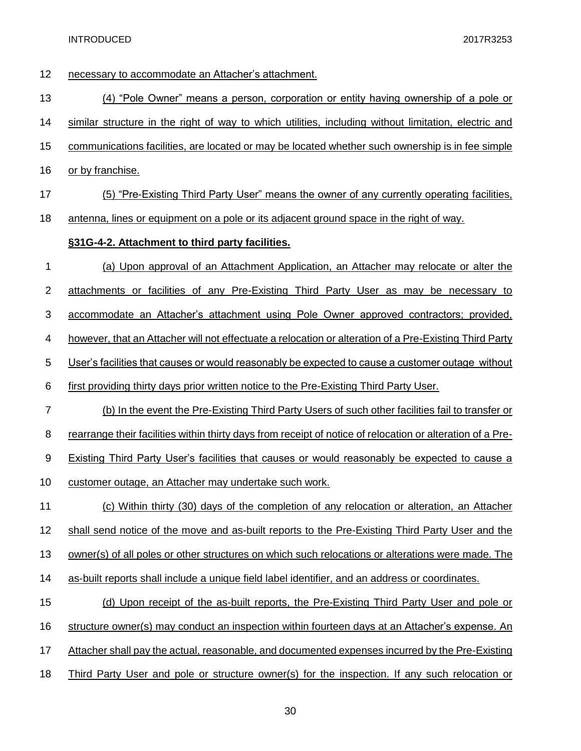| 12                        | necessary to accommodate an Attacher's attachment.                                                         |
|---------------------------|------------------------------------------------------------------------------------------------------------|
| 13                        | (4) "Pole Owner" means a person, corporation or entity having ownership of a pole or                       |
| 14                        | similar structure in the right of way to which utilities, including without limitation, electric and       |
| 15                        | communications facilities, are located or may be located whether such ownership is in fee simple           |
| 16                        | or by franchise.                                                                                           |
| 17                        | (5) "Pre-Existing Third Party User" means the owner of any currently operating facilities,                 |
| 18                        | antenna, lines or equipment on a pole or its adjacent ground space in the right of way.                    |
|                           | §31G-4-2. Attachment to third party facilities.                                                            |
| 1                         | (a) Upon approval of an Attachment Application, an Attacher may relocate or alter the                      |
| $\overline{2}$            | <u>attachments or facilities of any Pre-Existing Third Party User as may be necessary to</u>               |
| $\ensuremath{\mathsf{3}}$ | accommodate an Attacher's attachment using Pole Owner approved contractors; provided,                      |
| 4                         | however, that an Attacher will not effectuate a relocation or alteration of a Pre-Existing Third Party     |
| 5                         | User's facilities that causes or would reasonably be expected to cause a customer outage without           |
| 6                         | first providing thirty days prior written notice to the Pre-Existing Third Party User.                     |
| $\overline{7}$            | (b) In the event the Pre-Existing Third Party Users of such other facilities fail to transfer or           |
| 8                         | rearrange their facilities within thirty days from receipt of notice of relocation or alteration of a Pre- |
| $\boldsymbol{9}$          | <b>Existing Third Party User's facilities that causes or would reasonably be expected to cause a</b>       |
| 10                        | customer outage, an Attacher may undertake such work.                                                      |
| 11                        | (c) Within thirty (30) days of the completion of any relocation or alteration, an Attacher                 |
| 12                        | shall send notice of the move and as-built reports to the Pre-Existing Third Party User and the            |
| 13                        | owner(s) of all poles or other structures on which such relocations or alterations were made. The          |
| 14                        | as-built reports shall include a unique field label identifier, and an address or coordinates.             |
| 15                        | (d) Upon receipt of the as-built reports, the Pre-Existing Third Party User and pole or                    |
| 16                        | structure owner(s) may conduct an inspection within fourteen days at an Attacher's expense. An             |
| 17                        | Attacher shall pay the actual, reasonable, and documented expenses incurred by the Pre-Existing            |
| 18                        | Third Party User and pole or structure owner(s) for the inspection. If any such relocation or              |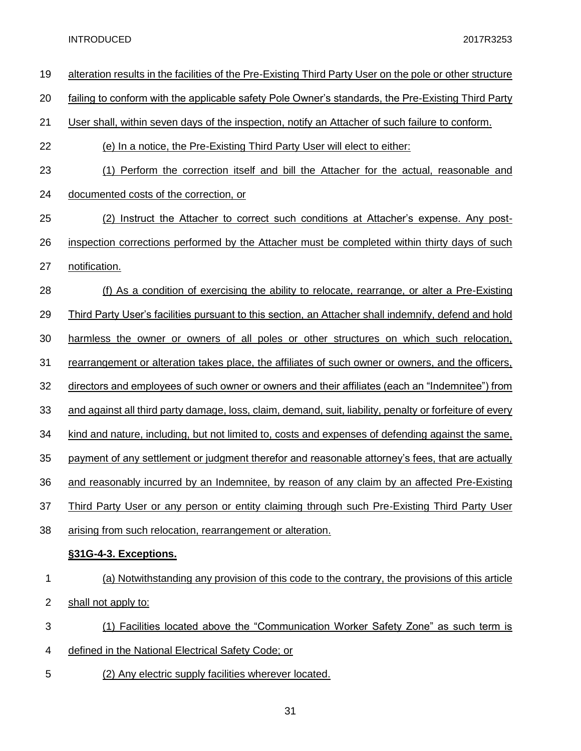| 19             | alteration results in the facilities of the Pre-Existing Third Party User on the pole or other structure |
|----------------|----------------------------------------------------------------------------------------------------------|
| 20             | failing to conform with the applicable safety Pole Owner's standards, the Pre-Existing Third Party       |
| 21             | User shall, within seven days of the inspection, notify an Attacher of such failure to conform.          |
| 22             | (e) In a notice, the Pre-Existing Third Party User will elect to either:                                 |
| 23             | (1) Perform the correction itself and bill the Attacher for the actual, reasonable and                   |
| 24             | documented costs of the correction, or                                                                   |
| 25             | (2) Instruct the Attacher to correct such conditions at Attacher's expense. Any post-                    |
| 26             | inspection corrections performed by the Attacher must be completed within thirty days of such            |
| 27             | notification.                                                                                            |
| 28             | (f) As a condition of exercising the ability to relocate, rearrange, or alter a Pre-Existing             |
| 29             | Third Party User's facilities pursuant to this section, an Attacher shall indemnify, defend and hold     |
| 30             | harmless the owner or owners of all poles or other structures on which such relocation,                  |
| 31             | rearrangement or alteration takes place, the affiliates of such owner or owners, and the officers,       |
| 32             | directors and employees of such owner or owners and their affiliates (each an "Indemnitee") from         |
| 33             | and against all third party damage, loss, claim, demand, suit, liability, penalty or forfeiture of every |
| 34             | kind and nature, including, but not limited to, costs and expenses of defending against the same,        |
| 35             | payment of any settlement or judgment therefor and reasonable attorney's fees, that are actually         |
| 36             | and reasonably incurred by an Indemnitee, by reason of any claim by an affected Pre-Existing             |
| 37             | Third Party User or any person or entity claiming through such Pre-Existing Third Party User             |
| 38             | arising from such relocation, rearrangement or alteration.                                               |
|                | §31G-4-3. Exceptions.                                                                                    |
| 1              | (a) Notwithstanding any provision of this code to the contrary, the provisions of this article           |
| $\overline{2}$ | shall not apply to:                                                                                      |
| 3              | (1) Facilities located above the "Communication Worker Safety Zone" as such term is                      |
| 4              | defined in the National Electrical Safety Code; or                                                       |
| 5              | (2) Any electric supply facilities wherever located.                                                     |
|                |                                                                                                          |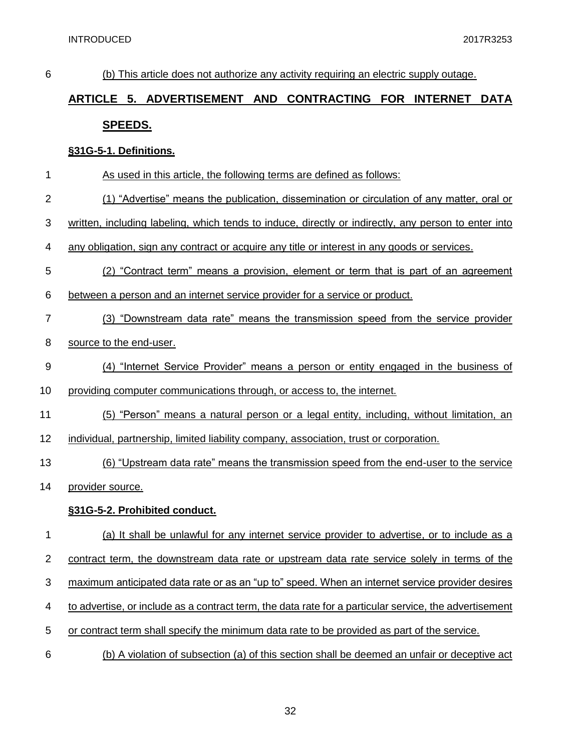| 6              | (b) This article does not authorize any activity requiring an electric supply outage.                  |
|----------------|--------------------------------------------------------------------------------------------------------|
|                | ARTICLE 5. ADVERTISEMENT AND CONTRACTING FOR INTERNET DATA                                             |
|                | <u>SPEEDS.</u>                                                                                         |
|                | §31G-5-1. Definitions.                                                                                 |
| 1              | As used in this article, the following terms are defined as follows:                                   |
| $\overline{2}$ | (1) "Advertise" means the publication, dissemination or circulation of any matter, oral or             |
| 3              | written, including labeling, which tends to induce, directly or indirectly, any person to enter into   |
| 4              | any obligation, sign any contract or acquire any title or interest in any goods or services.           |
| 5              | (2) "Contract term" means a provision, element or term that is part of an agreement                    |
| 6              | between a person and an internet service provider for a service or product.                            |
| $\overline{7}$ | (3) "Downstream data rate" means the transmission speed from the service provider                      |
| 8              | source to the end-user.                                                                                |
| 9              | (4) "Internet Service Provider" means a person or entity engaged in the business of                    |
| 10             | providing computer communications through, or access to, the internet.                                 |
| 11             | (5) "Person" means a natural person or a legal entity, including, without limitation, an               |
| 12             | individual, partnership, limited liability company, association, trust or corporation.                 |
| 13             | (6) "Upstream data rate" means the transmission speed from the end-user to the service                 |
| 14             | provider source.                                                                                       |
|                | §31G-5-2. Prohibited conduct.                                                                          |
| 1              | (a) It shall be unlawful for any internet service provider to advertise, or to include as a            |
| $\overline{2}$ | contract term, the downstream data rate or upstream data rate service solely in terms of the           |
| 3              | maximum anticipated data rate or as an "up to" speed. When an internet service provider desires        |
| 4              | to advertise, or include as a contract term, the data rate for a particular service, the advertisement |
| 5              | or contract term shall specify the minimum data rate to be provided as part of the service.            |
| 6              | (b) A violation of subsection (a) of this section shall be deemed an unfair or deceptive act           |